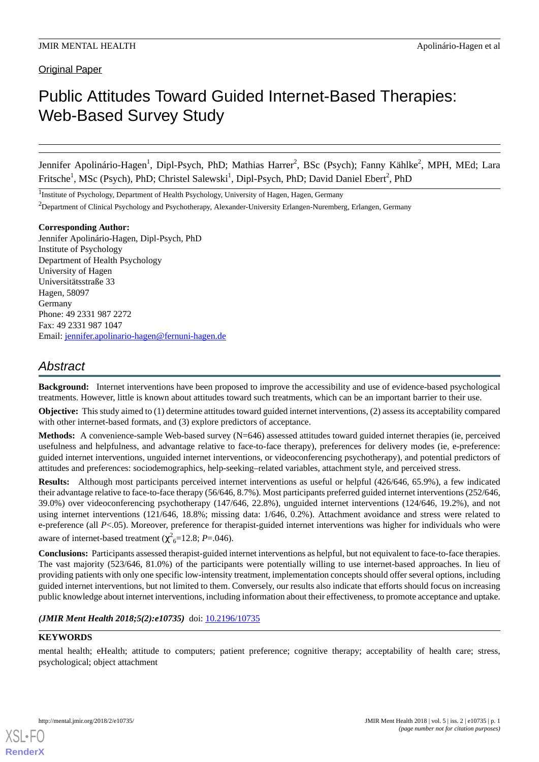Original Paper

# Public Attitudes Toward Guided Internet-Based Therapies: Web-Based Survey Study

Jennifer Apolinário-Hagen<sup>1</sup>, Dipl-Psych, PhD; Mathias Harrer<sup>2</sup>, BSc (Psych); Fanny Kählke<sup>2</sup>, MPH, MEd; Lara Fritsche<sup>1</sup>, MSc (Psych), PhD; Christel Salewski<sup>1</sup>, Dipl-Psych, PhD; David Daniel Ebert<sup>2</sup>, PhD

<sup>1</sup>Institute of Psychology, Department of Health Psychology, University of Hagen, Hagen, Germany

<sup>2</sup>Department of Clinical Psychology and Psychotherapy, Alexander-University Erlangen-Nuremberg, Erlangen, Germany

#### **Corresponding Author:**

Jennifer Apolinário-Hagen, Dipl-Psych, PhD Institute of Psychology Department of Health Psychology University of Hagen Universitätsstraße 33 Hagen, 58097 Germany Phone: 49 2331 987 2272 Fax: 49 2331 987 1047 Email: [jennifer.apolinario-hagen@fernuni-hagen.de](mailto:jennifer.apolinario-hagen@fernuni-hagen.de)

# *Abstract*

**Background:** Internet interventions have been proposed to improve the accessibility and use of evidence-based psychological treatments. However, little is known about attitudes toward such treatments, which can be an important barrier to their use.

**Objective:** This study aimed to (1) determine attitudes toward guided internet interventions, (2) assess its acceptability compared with other internet-based formats, and (3) explore predictors of acceptance.

**Methods:** A convenience-sample Web-based survey (N=646) assessed attitudes toward guided internet therapies (ie, perceived usefulness and helpfulness, and advantage relative to face-to-face therapy), preferences for delivery modes (ie, e-preference: guided internet interventions, unguided internet interventions, or videoconferencing psychotherapy), and potential predictors of attitudes and preferences: sociodemographics, help-seeking–related variables, attachment style, and perceived stress.

**Results:** Although most participants perceived internet interventions as useful or helpful (426/646, 65.9%), a few indicated their advantage relative to face-to-face therapy (56/646, 8.7%). Most participants preferred guided internet interventions (252/646, 39.0%) over videoconferencing psychotherapy (147/646, 22.8%), unguided internet interventions (124/646, 19.2%), and not using internet interventions (121/646, 18.8%; missing data: 1/646, 0.2%). Attachment avoidance and stress were related to e-preference (all *P*<.05). Moreover, preference for therapist-guided internet interventions was higher for individuals who were aware of internet-based treatment ( $\chi^2_{6}$ =12.8; *P*=.046).

**Conclusions:** Participants assessed therapist-guided internet interventions as helpful, but not equivalent to face-to-face therapies. The vast majority (523/646, 81.0%) of the participants were potentially willing to use internet-based approaches. In lieu of providing patients with only one specific low-intensity treatment, implementation concepts should offer several options, including guided internet interventions, but not limited to them. Conversely, our results also indicate that efforts should focus on increasing public knowledge about internet interventions, including information about their effectiveness, to promote acceptance and uptake.

# (JMIR Ment Health 2018;5(2):e10735) doi: [10.2196/10735](http://dx.doi.org/10.2196/10735)

# **KEYWORDS**

mental health; eHealth; attitude to computers; patient preference; cognitive therapy; acceptability of health care; stress, psychological; object attachment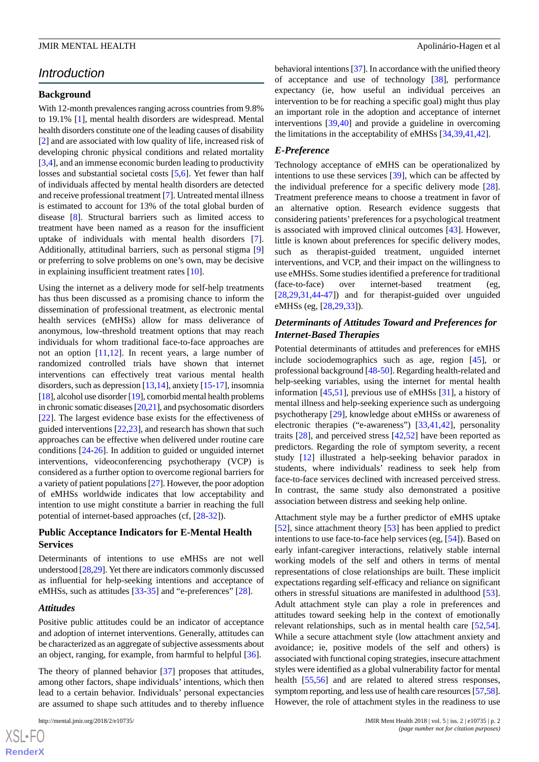#### JMIR MENTAL HEALTH **Apolinário-Hagen et al.** Apolinário-Hagen et al.

# *Introduction*

# **Background**

With 12-month prevalences ranging across countries from 9.8% to 19.1% [[1\]](#page-10-0), mental health disorders are widespread. Mental health disorders constitute one of the leading causes of disability [[2\]](#page-10-1) and are associated with low quality of life, increased risk of developing chronic physical conditions and related mortality [[3](#page-10-2)[,4](#page-11-0)], and an immense economic burden leading to productivity losses and substantial societal costs [[5,](#page-11-1)[6](#page-11-2)]. Yet fewer than half of individuals affected by mental health disorders are detected and receive professional treatment [[7\]](#page-11-3). Untreated mental illness is estimated to account for 13% of the total global burden of disease [[8\]](#page-11-4). Structural barriers such as limited access to treatment have been named as a reason for the insufficient uptake of individuals with mental health disorders [[7\]](#page-11-3). Additionally, attitudinal barriers, such as personal stigma [\[9](#page-11-5)] or preferring to solve problems on one's own, may be decisive in explaining insufficient treatment rates [[10\]](#page-11-6).

Using the internet as a delivery mode for self-help treatments has thus been discussed as a promising chance to inform the dissemination of professional treatment, as electronic mental health services (eMHSs) allow for mass deliverance of anonymous, low-threshold treatment options that may reach individuals for whom traditional face-to-face approaches are not an option [[11,](#page-11-7)[12](#page-11-8)]. In recent years, a large number of randomized controlled trials have shown that internet interventions can effectively treat various mental health disorders, such as depression [[13](#page-11-9)[,14\]](#page-11-10), anxiety [[15-](#page-11-11)[17\]](#page-11-12), insomnia [[18\]](#page-11-13), alcohol use disorder [\[19\]](#page-11-14), comorbid mental health problems in chronic somatic diseases [[20](#page-11-15),[21](#page-11-16)], and psychosomatic disorders [[22\]](#page-11-17). The largest evidence base exists for the effectiveness of guided interventions [[22,](#page-11-17)[23](#page-11-18)], and research has shown that such approaches can be effective when delivered under routine care conditions [\[24](#page-11-19)-[26\]](#page-12-0). In addition to guided or unguided internet interventions, videoconferencing psychotherapy (VCP) is considered as a further option to overcome regional barriers for a variety of patient populations [\[27\]](#page-12-1). However, the poor adoption of eMHSs worldwide indicates that low acceptability and intention to use might constitute a barrier in reaching the full potential of internet-based approaches (cf, [[28](#page-12-2)[-32](#page-12-3)]).

# **Public Acceptance Indicators for E-Mental Health Services**

Determinants of intentions to use eMHSs are not well understood [\[28,](#page-12-2)[29\]](#page-12-4). Yet there are indicators commonly discussed as influential for help-seeking intentions and acceptance of eMHSs, such as attitudes [[33](#page-12-5)[-35](#page-12-6)] and "e-preferences" [[28\]](#page-12-2).

#### *Attitudes*

Positive public attitudes could be an indicator of acceptance and adoption of internet interventions. Generally, attitudes can be characterized as an aggregate of subjective assessments about an object, ranging, for example, from harmful to helpful [[36\]](#page-12-7).

The theory of planned behavior [\[37](#page-12-8)] proposes that attitudes, among other factors, shape individuals' intentions, which then lead to a certain behavior. Individuals' personal expectancies are assumed to shape such attitudes and to thereby influence

behavioral intentions [[37\]](#page-12-8). In accordance with the unified theory of acceptance and use of technology [[38\]](#page-12-9), performance expectancy (ie, how useful an individual perceives an intervention to be for reaching a specific goal) might thus play an important role in the adoption and acceptance of internet interventions [[39](#page-12-10)[,40](#page-12-11)] and provide a guideline in overcoming the limitations in the acceptability of eMHSs [[34](#page-12-12)[,39](#page-12-10),[41](#page-12-13)[,42](#page-12-14)].

# *E-Preference*

Technology acceptance of eMHS can be operationalized by intentions to use these services [[39\]](#page-12-10), which can be affected by the individual preference for a specific delivery mode [[28\]](#page-12-2). Treatment preference means to choose a treatment in favor of an alternative option. Research evidence suggests that considering patients' preferences for a psychological treatment is associated with improved clinical outcomes [[43\]](#page-12-15). However, little is known about preferences for specific delivery modes, such as therapist-guided treatment, unguided internet interventions, and VCP, and their impact on the willingness to use eMHSs. Some studies identified a preference for traditional (face-to-face) over internet-based treatment (eg, [[28,](#page-12-2)[29,](#page-12-4)[31](#page-12-16)[,44](#page-12-17)-[47\]](#page-13-0)) and for therapist-guided over unguided eMHSs (eg, [\[28](#page-12-2),[29,](#page-12-4)[33](#page-12-5)]).

# *Determinants of Attitudes Toward and Preferences for Internet-Based Therapies*

Potential determinants of attitudes and preferences for eMHS include sociodemographics such as age, region [[45\]](#page-12-18), or professional background [[48](#page-13-1)[-50](#page-13-2)]. Regarding health-related and help-seeking variables, using the internet for mental health information [[45](#page-12-18)[,51](#page-13-3)], previous use of eMHSs [\[31](#page-12-16)], a history of mental illness and help-seeking experience such as undergoing psychotherapy [[29\]](#page-12-4), knowledge about eMHSs or awareness of electronic therapies ("e-awareness") [\[33](#page-12-5),[41](#page-12-13)[,42](#page-12-14)], personality traits [[28\]](#page-12-2), and perceived stress [\[42](#page-12-14)[,52](#page-13-4)] have been reported as predictors. Regarding the role of symptom severity, a recent study [\[12](#page-11-8)] illustrated a help-seeking behavior paradox in students, where individuals' readiness to seek help from face-to-face services declined with increased perceived stress. In contrast, the same study also demonstrated a positive association between distress and seeking help online.

Attachment style may be a further predictor of eMHS uptake [[52\]](#page-13-4), since attachment theory [[53\]](#page-13-5) has been applied to predict intentions to use face-to-face help services (eg, [[54\]](#page-13-6)). Based on early infant-caregiver interactions, relatively stable internal working models of the self and others in terms of mental representations of close relationships are built. These implicit expectations regarding self-efficacy and reliance on significant others in stressful situations are manifested in adulthood [[53\]](#page-13-5). Adult attachment style can play a role in preferences and attitudes toward seeking help in the context of emotionally relevant relationships, such as in mental health care [\[52](#page-13-4),[54\]](#page-13-6). While a secure attachment style (low attachment anxiety and avoidance; ie, positive models of the self and others) is associated with functional coping strategies, insecure attachment styles were identified as a global vulnerability factor for mental health [[55](#page-13-7)[,56](#page-13-8)] and are related to altered stress responses, symptom reporting, and less use of health care resources [\[57](#page-13-9)[,58](#page-13-10)]. However, the role of attachment styles in the readiness to use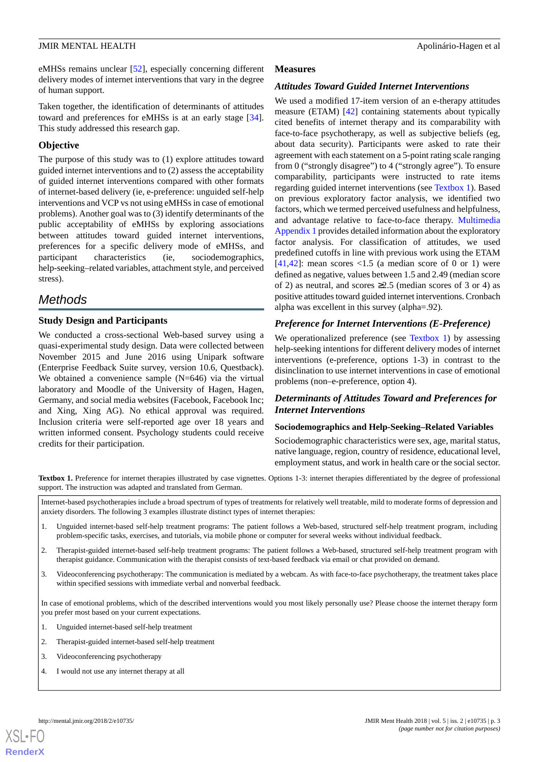eMHSs remains unclear [\[52](#page-13-4)], especially concerning different delivery modes of internet interventions that vary in the degree of human support.

Taken together, the identification of determinants of attitudes toward and preferences for eMHSs is at an early stage [[34\]](#page-12-12). This study addressed this research gap.

# **Objective**

The purpose of this study was to (1) explore attitudes toward guided internet interventions and to (2) assess the acceptability of guided internet interventions compared with other formats of internet-based delivery (ie, e-preference: unguided self-help interventions and VCP vs not using eMHSs in case of emotional problems). Another goal was to (3) identify determinants of the public acceptability of eMHSs by exploring associations between attitudes toward guided internet interventions, preferences for a specific delivery mode of eMHSs, and participant characteristics (ie, sociodemographics, help-seeking–related variables, attachment style, and perceived stress).

# *Methods*

# **Study Design and Participants**

We conducted a cross-sectional Web-based survey using a quasi-experimental study design. Data were collected between November 2015 and June 2016 using Unipark software (Enterprise Feedback Suite survey, version 10.6, Questback). We obtained a convenience sample (N=646) via the virtual laboratory and Moodle of the University of Hagen, Hagen, Germany, and social media websites (Facebook, Facebook Inc; and Xing, Xing AG). No ethical approval was required. Inclusion criteria were self-reported age over 18 years and written informed consent. Psychology students could receive credits for their participation.

# **Measures**

# *Attitudes Toward Guided Internet Interventions*

We used a modified 17-item version of an e-therapy attitudes measure (ETAM) [\[42](#page-12-14)] containing statements about typically cited benefits of internet therapy and its comparability with face-to-face psychotherapy, as well as subjective beliefs (eg, about data security). Participants were asked to rate their agreement with each statement on a 5-point rating scale ranging from 0 ("strongly disagree") to 4 ("strongly agree"). To ensure comparability, participants were instructed to rate items regarding guided internet interventions (see [Textbox 1](#page-2-0)). Based on previous exploratory factor analysis, we identified two factors, which we termed perceived usefulness and helpfulness, and advantage relative to face-to-face therapy. [Multimedia](#page-10-3) [Appendix 1](#page-10-3) provides detailed information about the exploratory factor analysis. For classification of attitudes, we used predefined cutoffs in line with previous work using the ETAM [[41,](#page-12-13)[42\]](#page-12-14): mean scores  $\langle 1.5 \rangle$  (a median score of 0 or 1) were defined as negative, values between 1.5 and 2.49 (median score of 2) as neutral, and scores  $\geq 2.5$  (median scores of 3 or 4) as positive attitudes toward guided internet interventions. Cronbach alpha was excellent in this survey (alpha=.92).

# *Preference for Internet Interventions (E-Preference)*

We operationalized preference (see [Textbox 1](#page-2-0)) by assessing help-seeking intentions for different delivery modes of internet interventions (e-preference, options 1-3) in contrast to the disinclination to use internet interventions in case of emotional problems (non–e-preference, option 4).

# *Determinants of Attitudes Toward and Preferences for Internet Interventions*

# **Sociodemographics and Help-Seeking–Related Variables**

Sociodemographic characteristics were sex, age, marital status, native language, region, country of residence, educational level, employment status, and work in health care or the social sector.

<span id="page-2-0"></span>**Textbox 1.** Preference for internet therapies illustrated by case vignettes. Options 1-3: internet therapies differentiated by the degree of professional support. The instruction was adapted and translated from German.

Internet-based psychotherapies include a broad spectrum of types of treatments for relatively well treatable, mild to moderate forms of depression and anxiety disorders. The following 3 examples illustrate distinct types of internet therapies:

- 1. Unguided internet-based self-help treatment programs: The patient follows a Web-based, structured self-help treatment program, including problem-specific tasks, exercises, and tutorials, via mobile phone or computer for several weeks without individual feedback.
- 2. Therapist-guided internet-based self-help treatment programs: The patient follows a Web-based, structured self-help treatment program with therapist guidance. Communication with the therapist consists of text-based feedback via email or chat provided on demand.
- 3. Videoconferencing psychotherapy: The communication is mediated by a webcam. As with face-to-face psychotherapy, the treatment takes place within specified sessions with immediate verbal and nonverbal feedback.

In case of emotional problems, which of the described interventions would you most likely personally use? Please choose the internet therapy form you prefer most based on your current expectations.

- 1. Unguided internet-based self-help treatment
- 2. Therapist-guided internet-based self-help treatment
- 3. Videoconferencing psychotherapy
- 4. I would not use any internet therapy at all



**[RenderX](http://www.renderx.com/)**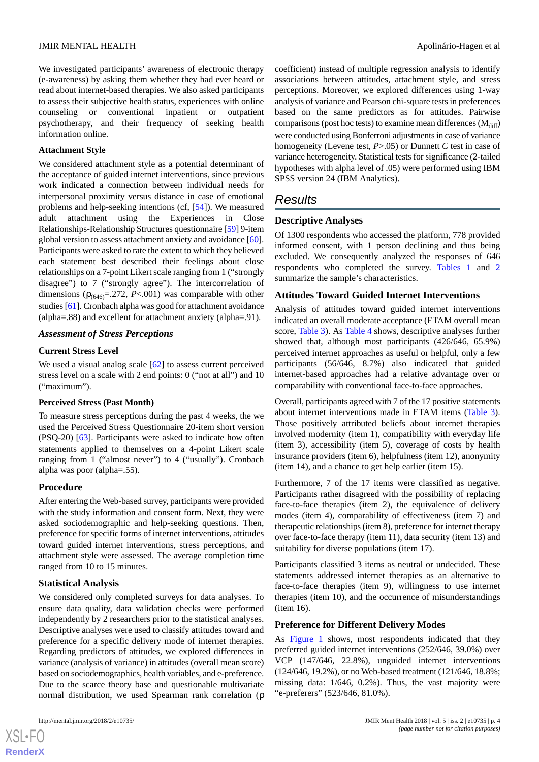We investigated participants' awareness of electronic therapy (e-awareness) by asking them whether they had ever heard or read about internet-based therapies. We also asked participants to assess their subjective health status, experiences with online counseling or conventional inpatient or outpatient psychotherapy, and their frequency of seeking health information online.

#### **Attachment Style**

We considered attachment style as a potential determinant of the acceptance of guided internet interventions, since previous work indicated a connection between individual needs for interpersonal proximity versus distance in case of emotional problems and help-seeking intentions (cf, [[54\]](#page-13-6)). We measured adult attachment using the Experiences in Close Relationships-Relationship Structures questionnaire [[59\]](#page-13-11) 9-item global version to assess attachment anxiety and avoidance [[60\]](#page-13-12). Participants were asked to rate the extent to which they believed each statement best described their feelings about close relationships on a 7-point Likert scale ranging from 1 ("strongly disagree") to 7 ("strongly agree"). The intercorrelation of dimensions  $(\rho_{(646)} = .272, P < .001)$  was comparable with other studies [[61\]](#page-13-13). Cronbach alpha was good for attachment avoidance (alpha=.88) and excellent for attachment anxiety (alpha=.91).

# *Assessment of Stress Perceptions*

# **Current Stress Level**

We used a visual analog scale [\[62](#page-13-14)] to assess current perceived stress level on a scale with 2 end points: 0 ("not at all") and 10 ("maximum").

#### **Perceived Stress (Past Month)**

To measure stress perceptions during the past 4 weeks, the we used the Perceived Stress Questionnaire 20-item short version (PSQ-20) [\[63](#page-13-15)]. Participants were asked to indicate how often statements applied to themselves on a 4-point Likert scale ranging from 1 ("almost never") to 4 ("usually"). Cronbach alpha was poor (alpha=.55).

# **Procedure**

After entering the Web-based survey, participants were provided with the study information and consent form. Next, they were asked sociodemographic and help-seeking questions. Then, preference for specific forms of internet interventions, attitudes toward guided internet interventions, stress perceptions, and attachment style were assessed. The average completion time ranged from 10 to 15 minutes.

# **Statistical Analysis**

We considered only completed surveys for data analyses. To ensure data quality, data validation checks were performed independently by 2 researchers prior to the statistical analyses. Descriptive analyses were used to classify attitudes toward and preference for a specific delivery mode of internet therapies. Regarding predictors of attitudes, we explored differences in variance (analysis of variance) in attitudes (overall mean score) based on sociodemographics, health variables, and e-preference. Due to the scarce theory base and questionable multivariate normal distribution, we used Spearman rank correlation (ρ

[XSL](http://www.w3.org/Style/XSL)•FO **[RenderX](http://www.renderx.com/)** coefficient) instead of multiple regression analysis to identify associations between attitudes, attachment style, and stress perceptions. Moreover, we explored differences using 1-way analysis of variance and Pearson chi-square tests in preferences based on the same predictors as for attitudes. Pairwise comparisons (post hoc tests) to examine mean differences  $\rm (M_{diff})$ were conducted using Bonferroni adjustments in case of variance homogeneity (Levene test, *P*>.05) or Dunnett *C* test in case of variance heterogeneity. Statistical tests for significance (2-tailed hypotheses with alpha level of .05) were performed using IBM SPSS version 24 (IBM Analytics).

# *Results*

# **Descriptive Analyses**

Of 1300 respondents who accessed the platform, 778 provided informed consent, with 1 person declining and thus being excluded. We consequently analyzed the responses of 646 respondents who completed the survey. [Tables 1](#page-4-0) and [2](#page-6-0) summarize the sample's characteristics.

# **Attitudes Toward Guided Internet Interventions**

Analysis of attitudes toward guided internet interventions indicated an overall moderate acceptance (ETAM overall mean score, [Table 3](#page-7-0)). As [Table 4](#page-7-1) shows, descriptive analyses further showed that, although most participants (426/646, 65.9%) perceived internet approaches as useful or helpful, only a few participants (56/646, 8.7%) also indicated that guided internet-based approaches had a relative advantage over or comparability with conventional face-to-face approaches.

Overall, participants agreed with 7 of the 17 positive statements about internet interventions made in ETAM items [\(Table 3\)](#page-7-0). Those positively attributed beliefs about internet therapies involved modernity (item 1), compatibility with everyday life (item 3), accessibility (item 5), coverage of costs by health insurance providers (item 6), helpfulness (item 12), anonymity (item 14), and a chance to get help earlier (item 15).

Furthermore, 7 of the 17 items were classified as negative. Participants rather disagreed with the possibility of replacing face-to-face therapies (item 2), the equivalence of delivery modes (item 4), comparability of effectiveness (item 7) and therapeutic relationships (item 8), preference for internet therapy over face-to-face therapy (item 11), data security (item 13) and suitability for diverse populations (item 17).

Participants classified 3 items as neutral or undecided. These statements addressed internet therapies as an alternative to face-to-face therapies (item 9), willingness to use internet therapies (item 10), and the occurrence of misunderstandings (item 16).

# **Preference for Different Delivery Modes**

As [Figure 1](#page-8-0) shows, most respondents indicated that they preferred guided internet interventions (252/646, 39.0%) over VCP (147/646, 22.8%), unguided internet interventions (124/646, 19.2%), or no Web-based treatment (121/646, 18.8%; missing data: 1/646, 0.2%). Thus, the vast majority were "e-preferers" (523/646, 81.0%).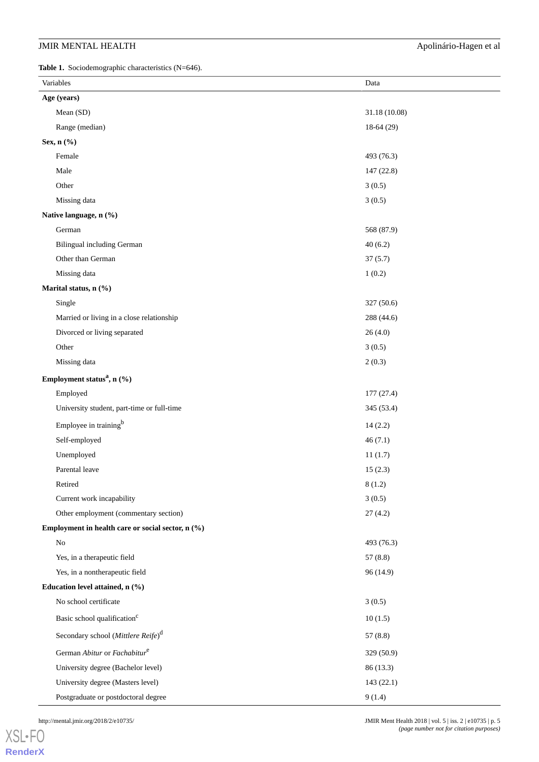# JMIR MENTAL HEALTH Apolinário-Hagen et al

<span id="page-4-0"></span>**Table 1.** Sociodemographic characteristics (N=646).

| Variables                                         | Data          |
|---------------------------------------------------|---------------|
| Age (years)                                       |               |
| Mean (SD)                                         | 31.18 (10.08) |
| Range (median)                                    | $18-64(29)$   |
| Sex, n (%)                                        |               |
| Female                                            | 493 (76.3)    |
| Male                                              | 147 (22.8)    |
| Other                                             | 3(0.5)        |
| Missing data                                      | 3(0.5)        |
| Native language, n (%)                            |               |
| German                                            | 568 (87.9)    |
| <b>Bilingual including German</b>                 | 40(6.2)       |
| Other than German                                 | 37(5.7)       |
| Missing data                                      | 1(0.2)        |
| Marital status, n (%)                             |               |
| Single                                            | 327 (50.6)    |
| Married or living in a close relationship         | 288 (44.6)    |
| Divorced or living separated                      | 26(4.0)       |
| Other                                             | 3(0.5)        |
| Missing data                                      | 2(0.3)        |
| Employment status <sup>a</sup> , n (%)            |               |
| Employed                                          | 177(27.4)     |
| University student, part-time or full-time        | 345 (53.4)    |
| Employee in training <sup>b</sup>                 | 14(2.2)       |
| Self-employed                                     | 46(7.1)       |
| Unemployed                                        | 11(1.7)       |
| Parental leave                                    | 15(2.3)       |
| Retired                                           | 8(1.2)        |
| Current work incapability                         | 3(0.5)        |
| Other employment (commentary section)             | 27(4.2)       |
| Employment in health care or social sector, n (%) |               |
| No                                                | 493 (76.3)    |
| Yes, in a therapeutic field                       | 57(8.8)       |
| Yes, in a nontherapeutic field                    | 96 (14.9)     |
| Education level attained, n (%)                   |               |
| No school certificate                             | 3(0.5)        |
| Basic school qualification <sup>c</sup>           | 10(1.5)       |
| Secondary school (Mittlere Reife) <sup>d</sup>    | 57(8.8)       |
| German Abitur or Fachabitur <sup>e</sup>          | 329 (50.9)    |
| University degree (Bachelor level)                | 86 (13.3)     |
| University degree (Masters level)                 | 143(22.1)     |
| Postgraduate or postdoctoral degree               | 9(1.4)        |

[XSL](http://www.w3.org/Style/XSL)•FO **[RenderX](http://www.renderx.com/)**

http://mental.jmir.org/2018/2/e10735/ JMIR Ment Health 2018 | vol. 5 | iss. 2 | e10735 | p. 5 *(page number not for citation purposes)*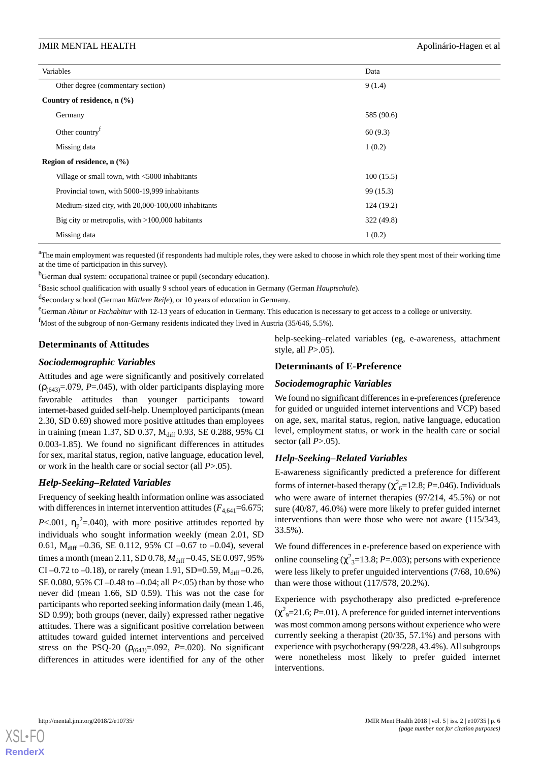#### JMIR MENTAL HEALTH **Apolinário-Hagen et al.** Apolinário-Hagen et al.

| Variables                                          | Data       |
|----------------------------------------------------|------------|
| Other degree (commentary section)                  | 9(1.4)     |
| Country of residence, $n$ (%)                      |            |
| Germany                                            | 585 (90.6) |
| Other country <sup>f</sup>                         | 60(9.3)    |
| Missing data                                       | 1(0.2)     |
| Region of residence, $n$ (%)                       |            |
| Village or small town, with <5000 inhabitants      | 100(15.5)  |
| Provincial town, with 5000-19,999 inhabitants      | 99 (15.3)  |
| Medium-sized city, with 20,000-100,000 inhabitants | 124(19.2)  |
| Big city or metropolis, with $>100,000$ habitants  | 322 (49.8) |
| Missing data                                       | 1(0.2)     |

<sup>a</sup>The main employment was requested (if respondents had multiple roles, they were asked to choose in which role they spent most of their working time at the time of participation in this survey).

<sup>b</sup>German dual system: occupational trainee or pupil (secondary education).

<sup>c</sup>Basic school qualification with usually 9 school years of education in Germany (German *Hauptschule*).

d Secondary school (German *Mittlere Reife*), or 10 years of education in Germany.

<sup>e</sup>German *Abitur* or *Fachabitur* with 12-13 years of education in Germany. This education is necessary to get access to a college or university.

<sup>f</sup>Most of the subgroup of non-Germany residents indicated they lived in Austria (35/646, 5.5%).

# **Determinants of Attitudes**

# *Sociodemographic Variables*

Attitudes and age were significantly and positively correlated  $(\rho_{(643)} = .079, P = .045)$ , with older participants displaying more favorable attitudes than younger participants toward internet-based guided self-help. Unemployed participants (mean 2.30, SD 0.69) showed more positive attitudes than employees in training (mean 1.37, SD 0.37, M<sub>diff</sub> 0.93, SE 0.288, 95% CI 0.003-1.85). We found no significant differences in attitudes for sex, marital status, region, native language, education level, or work in the health care or social sector (all *P*>.05).

# *Help-Seeking–Related Variables*

Frequency of seeking health information online was associated with differences in internet intervention attitudes  $(F_{4,641}=6.675;$ *P*<.001,  $\eta_p^2 = 0.040$ , with more positive attitudes reported by individuals who sought information weekly (mean 2.01, SD 0.61,  $M_{\text{diff}}$  –0.36, SE 0.112, 95% CI –0.67 to –0.04), several times a month (mean 2.11, SD 0.78,  $M_{\text{diff}}$  –0.45, SE 0.097, 95% CI –0.72 to –0.18), or rarely (mean 1.91, SD=0.59,  $M_{diff}$  –0.26, SE 0.080, 95% CI –0.48 to –0.04; all *P*<.05) than by those who never did (mean 1.66, SD 0.59). This was not the case for participants who reported seeking information daily (mean 1.46, SD 0.99); both groups (never, daily) expressed rather negative attitudes. There was a significant positive correlation between attitudes toward guided internet interventions and perceived stress on the PSQ-20 ( $\rho_{(643)} = .092$ , *P*=.020). No significant differences in attitudes were identified for any of the other help-seeking–related variables (eg, e-awareness, attachment style, all *P*>.05).

# **Determinants of E-Preference**

# *Sociodemographic Variables*

We found no significant differences in e-preferences (preference for guided or unguided internet interventions and VCP) based on age, sex, marital status, region, native language, education level, employment status, or work in the health care or social sector (all *P*>.05).

# *Help-Seeking–Related Variables*

E-awareness significantly predicted a preference for different forms of internet-based therapy ( $\chi^2$ <sub>6</sub>=12.8; *P*=.046). Individuals who were aware of internet therapies (97/214, 45.5%) or not sure (40/87, 46.0%) were more likely to prefer guided internet interventions than were those who were not aware (115/343, 33.5%).

We found differences in e-preference based on experience with online counseling  $(\chi^2_{3} = 13.8; P = .003)$ ; persons with experience were less likely to prefer unguided interventions (7/68, 10.6%) than were those without (117/578, 20.2%).

Experience with psychotherapy also predicted e-preference  $(\chi^2$ <sub>9</sub>=21.6; *P*=.01). A preference for guided internet interventions was most common among persons without experience who were currently seeking a therapist (20/35, 57.1%) and persons with experience with psychotherapy (99/228, 43.4%). All subgroups were nonetheless most likely to prefer guided internet interventions.



**[RenderX](http://www.renderx.com/)**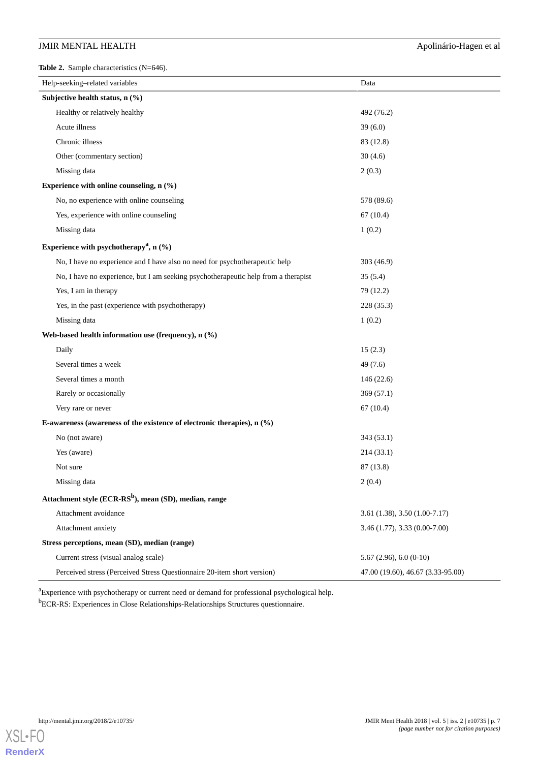# JMIR MENTAL HEALTH Apolinário-Hagen et al

<span id="page-6-0"></span>**Table 2.** Sample characteristics (N=646).

| Help-seeking-related variables                                                     | Data                              |  |  |
|------------------------------------------------------------------------------------|-----------------------------------|--|--|
| Subjective health status, n (%)                                                    |                                   |  |  |
| Healthy or relatively healthy                                                      | 492 (76.2)                        |  |  |
| Acute illness                                                                      | 39(6.0)                           |  |  |
| Chronic illness                                                                    | 83 (12.8)                         |  |  |
| Other (commentary section)                                                         | 30(4.6)                           |  |  |
| Missing data                                                                       | 2(0.3)                            |  |  |
| Experience with online counseling, $n$ (%)                                         |                                   |  |  |
| No, no experience with online counseling                                           | 578 (89.6)                        |  |  |
| Yes, experience with online counseling                                             | 67(10.4)                          |  |  |
| Missing data                                                                       | 1(0.2)                            |  |  |
| Experience with psychotherapy <sup>a</sup> , n $(\%)$                              |                                   |  |  |
| No, I have no experience and I have also no need for psychotherapeutic help        | 303(46.9)                         |  |  |
| No, I have no experience, but I am seeking psychotherapeutic help from a therapist | 35(5.4)                           |  |  |
| Yes, I am in therapy                                                               | 79 (12.2)                         |  |  |
| Yes, in the past (experience with psychotherapy)                                   | 228 (35.3)                        |  |  |
| Missing data                                                                       | 1(0.2)                            |  |  |
| Web-based health information use (frequency), n (%)                                |                                   |  |  |
| Daily                                                                              | 15(2.3)                           |  |  |
| Several times a week                                                               | 49(7.6)                           |  |  |
| Several times a month                                                              | 146 (22.6)                        |  |  |
| Rarely or occasionally                                                             | 369(57.1)                         |  |  |
| Very rare or never                                                                 | 67(10.4)                          |  |  |
| E-awareness (awareness of the existence of electronic therapies), $n$ (%)          |                                   |  |  |
| No (not aware)                                                                     | 343 (53.1)                        |  |  |
| Yes (aware)                                                                        | 214 (33.1)                        |  |  |
| Not sure                                                                           | 87 (13.8)                         |  |  |
| Missing data                                                                       | 2(0.4)                            |  |  |
| Attachment style (ECR-RS <sup>b</sup> ), mean (SD), median, range                  |                                   |  |  |
| Attachment avoidance                                                               | 3.61 (1.38), 3.50 (1.00-7.17)     |  |  |
| Attachment anxiety                                                                 | 3.46 (1.77), 3.33 (0.00-7.00)     |  |  |
| Stress perceptions, mean (SD), median (range)                                      |                                   |  |  |
| Current stress (visual analog scale)                                               | $5.67(2.96), 6.0(0-10)$           |  |  |
| Perceived stress (Perceived Stress Questionnaire 20-item short version)            | 47.00 (19.60), 46.67 (3.33-95.00) |  |  |

<sup>a</sup>Experience with psychotherapy or current need or demand for professional psychological help. <sup>b</sup>ECR-RS: Experiences in Close Relationships-Relationships Structures questionnaire.

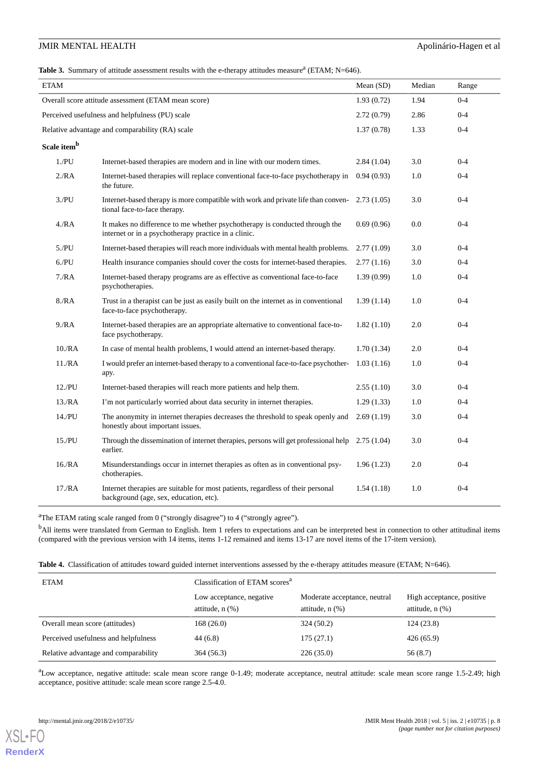# JMIR MENTAL HEALTH Apolinário-Hagen et al

<span id="page-7-0"></span>Table 3. Summary of attitude assessment results with the e-therapy attitudes measure<sup>a</sup> (ETAM; N=646).

| <b>ETAM</b>                                     |                                                                                                                                     | Mean (SD)  | Median | Range   |
|-------------------------------------------------|-------------------------------------------------------------------------------------------------------------------------------------|------------|--------|---------|
|                                                 | Overall score attitude assessment (ETAM mean score)                                                                                 | 1.93(0.72) | 1.94   | $0 - 4$ |
| Perceived usefulness and helpfulness (PU) scale |                                                                                                                                     | 2.72(0.79) | 2.86   | $0 - 4$ |
|                                                 | Relative advantage and comparability (RA) scale                                                                                     | 1.37(0.78) | 1.33   | $0 - 4$ |
| Scale item <sup>b</sup>                         |                                                                                                                                     |            |        |         |
| 1.PU                                            | Internet-based therapies are modern and in line with our modern times.                                                              | 2.84(1.04) | 3.0    | $0 - 4$ |
| 2/RA                                            | Internet-based therapies will replace conventional face-to-face psychotherapy in<br>the future.                                     | 0.94(0.93) | 1.0    | $0 - 4$ |
| 3/PU                                            | Internet-based therapy is more compatible with work and private life than conven-<br>tional face-to-face therapy.                   | 2.73(1.05) | 3.0    | $0 - 4$ |
| 4/RA                                            | It makes no difference to me whether psychotherapy is conducted through the<br>internet or in a psychotherapy practice in a clinic. | 0.69(0.96) | 0.0    | $0 - 4$ |
| 5.PU                                            | Internet-based therapies will reach more individuals with mental health problems.                                                   | 2.77(1.09) | 3.0    | $0 - 4$ |
| 6/PU                                            | Health insurance companies should cover the costs for internet-based therapies.                                                     | 2.77(1.16) | 3.0    | $0 - 4$ |
| 7/RA                                            | Internet-based therapy programs are as effective as conventional face-to-face<br>psychotherapies.                                   | 1.39(0.99) | 1.0    | $0 - 4$ |
| 8/RA                                            | Trust in a therapist can be just as easily built on the internet as in conventional<br>face-to-face psychotherapy.                  | 1.39(1.14) | 1.0    | $0 - 4$ |
| 9/RA                                            | Internet-based therapies are an appropriate alternative to conventional face-to-<br>face psychotherapy.                             | 1.82(1.10) | 2.0    | $0 - 4$ |
| 10. /RA                                         | In case of mental health problems, I would attend an internet-based therapy.                                                        | 1.70(1.34) | 2.0    | $0 - 4$ |
| 11. /RA                                         | I would prefer an internet-based therapy to a conventional face-to-face psychother-<br>apy.                                         | 1.03(1.16) | 1.0    | $0 - 4$ |
| 12.PU                                           | Internet-based therapies will reach more patients and help them.                                                                    | 2.55(1.10) | 3.0    | $0 - 4$ |
| 13. /RA                                         | I'm not particularly worried about data security in internet therapies.                                                             | 1.29(1.33) | 1.0    | $0 - 4$ |
| 14./PU                                          | The anonymity in internet therapies decreases the threshold to speak openly and<br>honestly about important issues.                 | 2.69(1.19) | 3.0    | $0 - 4$ |
| 15/PU                                           | Through the dissemination of internet therapies, persons will get professional help<br>earlier.                                     | 2.75(1.04) | 3.0    | $0 - 4$ |
| 16. /RA                                         | Misunderstandings occur in internet therapies as often as in conventional psy-<br>chotherapies.                                     | 1.96(1.23) | 2.0    | $0 - 4$ |
| 17. /RA                                         | Internet therapies are suitable for most patients, regardless of their personal<br>background (age, sex, education, etc).           | 1.54(1.18) | 1.0    | $0 - 4$ |

<span id="page-7-1"></span><sup>a</sup>The ETAM rating scale ranged from 0 ("strongly disagree") to 4 ("strongly agree").

<sup>b</sup>All items were translated from German to English. Item 1 refers to expectations and can be interpreted best in connection to other attitudinal items (compared with the previous version with 14 items, items 1-12 remained and items 13-17 are novel items of the 17-item version).

|  | Table 4. Classification of attitudes toward guided internet interventions assessed by the e-therapy attitudes measure (ETAM; N=646). |  |  |
|--|--------------------------------------------------------------------------------------------------------------------------------------|--|--|
|--|--------------------------------------------------------------------------------------------------------------------------------------|--|--|

| <b>ETAM</b>                          | Classification of ETAM scores <sup>a</sup>       |                                                      |                                                   |  |
|--------------------------------------|--------------------------------------------------|------------------------------------------------------|---------------------------------------------------|--|
|                                      | Low acceptance, negative<br>attitude, $n$ $(\%)$ | Moderate acceptance, neutral<br>attitude, $n$ $(\%)$ | High acceptance, positive<br>attitude, $n$ $(\%)$ |  |
| Overall mean score (attitudes)       | 168(26.0)                                        | 324(50.2)                                            | 124(23.8)                                         |  |
| Perceived usefulness and helpfulness | 44(6.8)                                          | 175(27.1)                                            | 426(65.9)                                         |  |
| Relative advantage and comparability | 364(56.3)                                        | 226(35.0)                                            | 56 (8.7)                                          |  |

<sup>a</sup>Low acceptance, negative attitude: scale mean score range 0-1.49; moderate acceptance, neutral attitude: scale mean score range 1.5-2.49; high acceptance, positive attitude: scale mean score range 2.5-4.0.

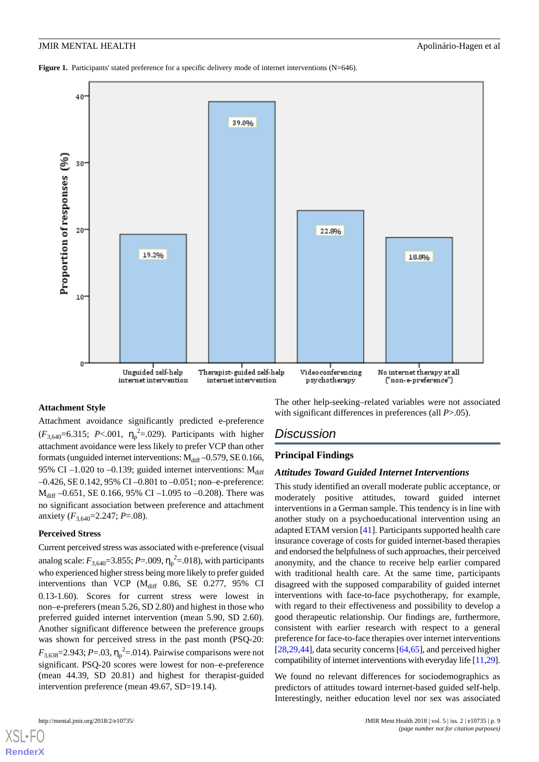<span id="page-8-0"></span>**Figure 1.** Participants' stated preference for a specific delivery mode of internet interventions (N=646).



# **Attachment Style**

Attachment avoidance significantly predicted e-preference  $(F_{3,640} = 6.315; P < .001, \eta_p^2 = .029)$ . Participants with higher attachment avoidance were less likely to prefer VCP than other formats (unguided internet interventions:  $M_{diff}$  –0.579, SE 0.166, 95% CI –1.020 to –0.139; guided internet interventions:  $M_{diff}$ –0.426, SE 0.142, 95% CI –0.801 to –0.051; non–e-preference:  $M_{diff}$  –0.651, SE 0.166, 95% CI –1.095 to –0.208). There was no significant association between preference and attachment anxiety ( $F_{3,640}$ =2.247; *P*=.08).

#### **Perceived Stress**

Current perceived stress was associated with e-preference (visual analog scale:  $F_{3,640} = 3.855$ ; *P*=.009,  $\eta_p^2 = 0.018$ ), with participants who experienced higher stress being more likely to prefer guided interventions than VCP ( $M_{diff}$  0.86, SE 0.277, 95% CI 0.13-1.60). Scores for current stress were lowest in non–e-preferers (mean 5.26, SD 2.80) and highest in those who preferred guided internet intervention (mean 5.90, SD 2.60). Another significant difference between the preference groups was shown for perceived stress in the past month (PSQ-20:  $F_{3,638}$ =2.943; *P*=.03,  $\eta_p^2$ =.014). Pairwise comparisons were not significant. PSQ-20 scores were lowest for non–e-preference (mean 44.39, SD 20.81) and highest for therapist-guided intervention preference (mean 49.67, SD=19.14).

The other help-seeking–related variables were not associated with significant differences in preferences (all *P*>.05).

# *Discussion*

# **Principal Findings**

# *Attitudes Toward Guided Internet Interventions*

This study identified an overall moderate public acceptance, or moderately positive attitudes, toward guided internet interventions in a German sample. This tendency is in line with another study on a psychoeducational intervention using an adapted ETAM version [\[41](#page-12-13)]. Participants supported health care insurance coverage of costs for guided internet-based therapies and endorsed the helpfulness of such approaches, their perceived anonymity, and the chance to receive help earlier compared with traditional health care. At the same time, participants disagreed with the supposed comparability of guided internet interventions with face-to-face psychotherapy, for example, with regard to their effectiveness and possibility to develop a good therapeutic relationship. Our findings are, furthermore, consistent with earlier research with respect to a general preference for face-to-face therapies over internet interventions [[28](#page-12-2)[,29](#page-12-4),[44\]](#page-12-17), data security concerns [\[64](#page-13-16),[65\]](#page-13-17), and perceived higher compatibility of internet interventions with everyday life [\[11](#page-11-7)[,29](#page-12-4)].

We found no relevant differences for sociodemographics as predictors of attitudes toward internet-based guided self-help. Interestingly, neither education level nor sex was associated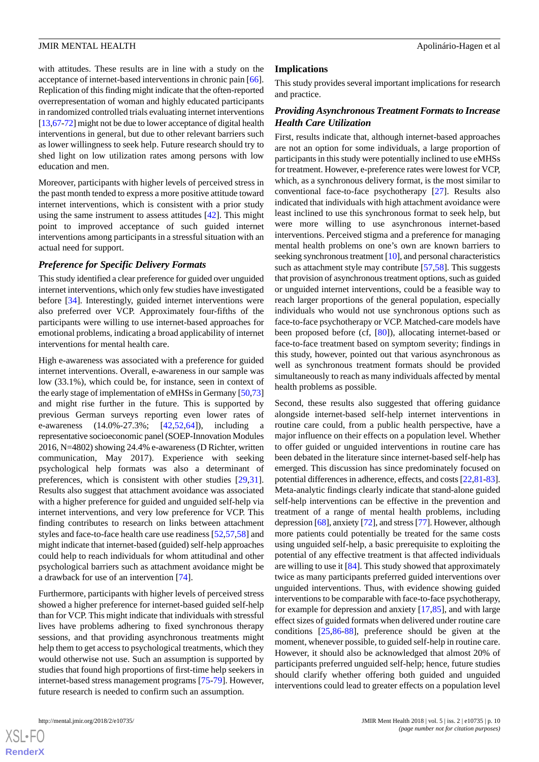with attitudes. These results are in line with a study on the acceptance of internet-based interventions in chronic pain [[66\]](#page-13-18). Replication of this finding might indicate that the often-reported overrepresentation of woman and highly educated participants in randomized controlled trials evaluating internet interventions [[13,](#page-11-9)[67-](#page-13-19)[72\]](#page-14-0) might not be due to lower acceptance of digital health interventions in general, but due to other relevant barriers such as lower willingness to seek help. Future research should try to shed light on low utilization rates among persons with low education and men.

Moreover, participants with higher levels of perceived stress in the past month tended to express a more positive attitude toward internet interventions, which is consistent with a prior study using the same instrument to assess attitudes [\[42](#page-12-14)]. This might point to improved acceptance of such guided internet interventions among participants in a stressful situation with an actual need for support.

# *Preference for Specific Delivery Formats*

This study identified a clear preference for guided over unguided internet interventions, which only few studies have investigated before [\[34](#page-12-12)]. Interestingly, guided internet interventions were also preferred over VCP. Approximately four-fifths of the participants were willing to use internet-based approaches for emotional problems, indicating a broad applicability of internet interventions for mental health care.

High e-awareness was associated with a preference for guided internet interventions. Overall, e-awareness in our sample was low (33.1%), which could be, for instance, seen in context of the early stage of implementation of eMHSs in Germany [\[50](#page-13-2)[,73](#page-14-1)] and might rise further in the future. This is supported by previous German surveys reporting even lower rates of e-awareness (14.0%-27.3%; [\[42](#page-12-14),[52](#page-13-4)[,64](#page-13-16)]), including a representative socioeconomic panel (SOEP-Innovation Modules 2016, N=4802) showing 24.4% e-awareness (D Richter, written communication, May 2017). Experience with seeking psychological help formats was also a determinant of preferences, which is consistent with other studies [\[29](#page-12-4),[31\]](#page-12-16). Results also suggest that attachment avoidance was associated with a higher preference for guided and unguided self-help via internet interventions, and very low preference for VCP. This finding contributes to research on links between attachment styles and face-to-face health care use readiness [[52](#page-13-4)[,57](#page-13-9),[58\]](#page-13-10) and might indicate that internet-based (guided) self-help approaches could help to reach individuals for whom attitudinal and other psychological barriers such as attachment avoidance might be a drawback for use of an intervention [\[74](#page-14-2)].

Furthermore, participants with higher levels of perceived stress showed a higher preference for internet-based guided self-help than for VCP. This might indicate that individuals with stressful lives have problems adhering to fixed synchronous therapy sessions, and that providing asynchronous treatments might help them to get access to psychological treatments, which they would otherwise not use. Such an assumption is supported by studies that found high proportions of first-time help seekers in internet-based stress management programs [\[75](#page-14-3)-[79\]](#page-14-4). However, future research is needed to confirm such an assumption.

 $XS$ -FO **[RenderX](http://www.renderx.com/)**

#### **Implications**

This study provides several important implications for research and practice.

# *Providing Asynchronous Treatment Formats to Increase Health Care Utilization*

First, results indicate that, although internet-based approaches are not an option for some individuals, a large proportion of participants in this study were potentially inclined to use eMHSs for treatment. However, e-preference rates were lowest for VCP, which, as a synchronous delivery format, is the most similar to conventional face-to-face psychotherapy [\[27](#page-12-1)]. Results also indicated that individuals with high attachment avoidance were least inclined to use this synchronous format to seek help, but were more willing to use asynchronous internet-based interventions. Perceived stigma and a preference for managing mental health problems on one's own are known barriers to seeking synchronous treatment [[10](#page-11-6)], and personal characteristics such as attachment style may contribute [\[57](#page-13-9),[58\]](#page-13-10). This suggests that provision of asynchronous treatment options, such as guided or unguided internet interventions, could be a feasible way to reach larger proportions of the general population, especially individuals who would not use synchronous options such as face-to-face psychotherapy or VCP. Matched-care models have been proposed before (cf, [\[80](#page-14-5)]), allocating internet-based or face-to-face treatment based on symptom severity; findings in this study, however, pointed out that various asynchronous as well as synchronous treatment formats should be provided simultaneously to reach as many individuals affected by mental health problems as possible.

Second, these results also suggested that offering guidance alongside internet-based self-help internet interventions in routine care could, from a public health perspective, have a major influence on their effects on a population level. Whether to offer guided or unguided interventions in routine care has been debated in the literature since internet-based self-help has emerged. This discussion has since predominately focused on potential differences in adherence, effects, and costs [[22,](#page-11-17)[81-](#page-14-6)[83](#page-14-7)]. Meta-analytic findings clearly indicate that stand-alone guided self-help interventions can be effective in the prevention and treatment of a range of mental health problems, including depression [[68](#page-13-20)], anxiety [[72\]](#page-14-0), and stress [\[77\]](#page-14-8). However, although more patients could potentially be treated for the same costs using unguided self-help, a basic prerequisite to exploiting the potential of any effective treatment is that affected individuals are willing to use it  $[84]$  $[84]$ . This study showed that approximately twice as many participants preferred guided interventions over unguided interventions. Thus, with evidence showing guided interventions to be comparable with face-to-face psychotherapy, for example for depression and anxiety [\[17](#page-11-12),[85\]](#page-14-10), and with large effect sizes of guided formats when delivered under routine care conditions [[25](#page-12-19)[,86](#page-14-11)-[88\]](#page-14-12), preference should be given at the moment, whenever possible, to guided self-help in routine care. However, it should also be acknowledged that almost 20% of participants preferred unguided self-help; hence, future studies should clarify whether offering both guided and unguided interventions could lead to greater effects on a population level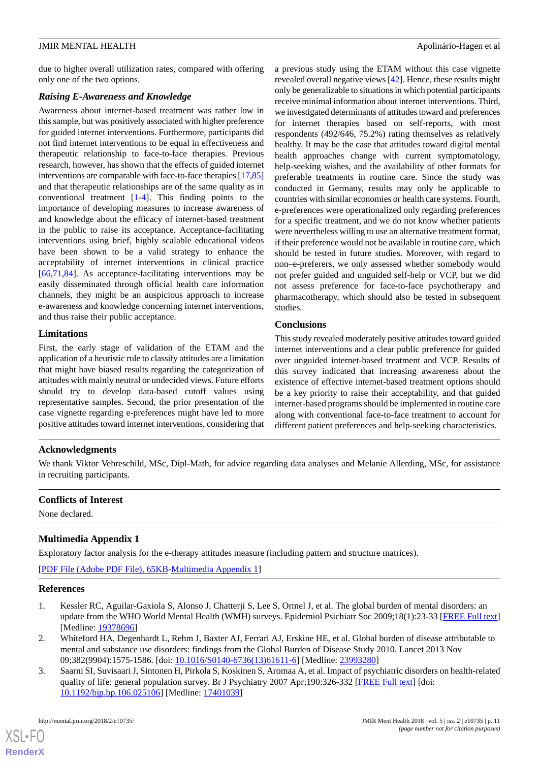due to higher overall utilization rates, compared with offering only one of the two options.

# *Raising E-Awareness and Knowledge*

Awareness about internet-based treatment was rather low in this sample, but was positively associated with higher preference for guided internet interventions. Furthermore, participants did not find internet interventions to be equal in effectiveness and therapeutic relationship to face-to-face therapies. Previous research, however, has shown that the effects of guided internet interventions are comparable with face-to-face therapies [\[17](#page-11-12)[,85](#page-14-10)] and that therapeutic relationships are of the same quality as in conventional treatment [\[1](#page-10-0)[-4](#page-11-0)]. This finding points to the importance of developing measures to increase awareness of and knowledge about the efficacy of internet-based treatment in the public to raise its acceptance. Acceptance-facilitating interventions using brief, highly scalable educational videos have been shown to be a valid strategy to enhance the acceptability of internet interventions in clinical practice [[66](#page-13-18)[,71](#page-14-13),[84\]](#page-14-9). As acceptance-facilitating interventions may be easily disseminated through official health care information channels, they might be an auspicious approach to increase e-awareness and knowledge concerning internet interventions, and thus raise their public acceptance.

# **Limitations**

First, the early stage of validation of the ETAM and the application of a heuristic rule to classify attitudes are a limitation that might have biased results regarding the categorization of attitudes with mainly neutral or undecided views. Future efforts should try to develop data-based cutoff values using representative samples. Second, the prior presentation of the case vignette regarding e-preferences might have led to more positive attitudes toward internet interventions, considering that

a previous study using the ETAM without this case vignette revealed overall negative views [[42\]](#page-12-14). Hence, these results might only be generalizable to situations in which potential participants receive minimal information about internet interventions. Third, we investigated determinants of attitudes toward and preferences for internet therapies based on self-reports, with most respondents (492/646, 75.2%) rating themselves as relatively healthy. It may be the case that attitudes toward digital mental health approaches change with current symptomatology, help-seeking wishes, and the availability of other formats for preferable treatments in routine care. Since the study was conducted in Germany, results may only be applicable to countries with similar economies or health care systems. Fourth, e-preferences were operationalized only regarding preferences for a specific treatment, and we do not know whether patients were nevertheless willing to use an alternative treatment format, if their preference would not be available in routine care, which should be tested in future studies. Moreover, with regard to non–e-preferers, we only assessed whether somebody would not prefer guided and unguided self-help or VCP, but we did not assess preference for face-to-face psychotherapy and pharmacotherapy, which should also be tested in subsequent studies.

# **Conclusions**

This study revealed moderately positive attitudes toward guided internet interventions and a clear public preference for guided over unguided internet-based treatment and VCP. Results of this survey indicated that increasing awareness about the existence of effective internet-based treatment options should be a key priority to raise their acceptability, and that guided internet-based programs should be implemented in routine care along with conventional face-to-face treatment to account for different patient preferences and help-seeking characteristics.

# **Acknowledgments**

We thank Viktor Vehreschild, MSc, Dipl-Math, for advice regarding data analyses and Melanie Allerding, MSc, for assistance in recruiting participants.

# <span id="page-10-3"></span>**Conflicts of Interest**

None declared.

# <span id="page-10-0"></span>**Multimedia Appendix 1**

Exploratory factor analysis for the e-therapy attitudes measure (including pattern and structure matrices).

<span id="page-10-1"></span>[[PDF File \(Adobe PDF File\), 65KB-Multimedia Appendix 1](https://jmir.org/api/download?alt_name=mental_v5i2e10735_app1.pdf)]

# **References**

- <span id="page-10-2"></span>1. Kessler RC, Aguilar-Gaxiola S, Alonso J, Chatterji S, Lee S, Ormel J, et al. The global burden of mental disorders: an update from the WHO World Mental Health (WMH) surveys. Epidemiol Psichiatr Soc 2009;18(1):23-33 [\[FREE Full text](http://europepmc.org/abstract/MED/19378696)] [Medline: [19378696](http://www.ncbi.nlm.nih.gov/entrez/query.fcgi?cmd=Retrieve&db=PubMed&list_uids=19378696&dopt=Abstract)]
- 2. Whiteford HA, Degenhardt L, Rehm J, Baxter AJ, Ferrari AJ, Erskine HE, et al. Global burden of disease attributable to mental and substance use disorders: findings from the Global Burden of Disease Study 2010. Lancet 2013 Nov 09;382(9904):1575-1586. [doi: [10.1016/S0140-6736\(13\)61611-6\]](http://dx.doi.org/10.1016/S0140-6736(13)61611-6) [Medline: [23993280](http://www.ncbi.nlm.nih.gov/entrez/query.fcgi?cmd=Retrieve&db=PubMed&list_uids=23993280&dopt=Abstract)]
- 3. Saarni SI, Suvisaari J, Sintonen H, Pirkola S, Koskinen S, Aromaa A, et al. Impact of psychiatric disorders on health-related quality of life: general population survey. Br J Psychiatry 2007 Apr;190:326-332 [[FREE Full text\]](https://doi.org/10.1192/bjp.bp.106.025106) [doi: [10.1192/bjp.bp.106.025106](http://dx.doi.org/10.1192/bjp.bp.106.025106)] [Medline: [17401039\]](http://www.ncbi.nlm.nih.gov/entrez/query.fcgi?cmd=Retrieve&db=PubMed&list_uids=17401039&dopt=Abstract)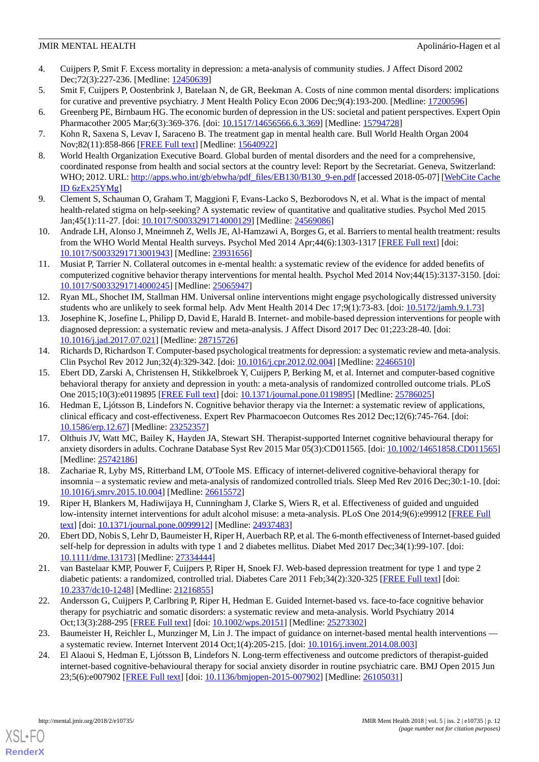- <span id="page-11-0"></span>4. Cuijpers P, Smit F. Excess mortality in depression: a meta-analysis of community studies. J Affect Disord 2002 Dec;72(3):227-236. [Medline: [12450639](http://www.ncbi.nlm.nih.gov/entrez/query.fcgi?cmd=Retrieve&db=PubMed&list_uids=12450639&dopt=Abstract)]
- <span id="page-11-2"></span><span id="page-11-1"></span>5. Smit F, Cuijpers P, Oostenbrink J, Batelaan N, de GR, Beekman A. Costs of nine common mental disorders: implications for curative and preventive psychiatry. J Ment Health Policy Econ 2006 Dec;9(4):193-200. [Medline: [17200596](http://www.ncbi.nlm.nih.gov/entrez/query.fcgi?cmd=Retrieve&db=PubMed&list_uids=17200596&dopt=Abstract)]
- <span id="page-11-3"></span>6. Greenberg PE, Birnbaum HG. The economic burden of depression in the US: societal and patient perspectives. Expert Opin Pharmacother 2005 Mar;6(3):369-376. [doi: [10.1517/14656566.6.3.369](http://dx.doi.org/10.1517/14656566.6.3.369)] [Medline: [15794728](http://www.ncbi.nlm.nih.gov/entrez/query.fcgi?cmd=Retrieve&db=PubMed&list_uids=15794728&dopt=Abstract)]
- <span id="page-11-4"></span>7. Kohn R, Saxena S, Levav I, Saraceno B. The treatment gap in mental health care. Bull World Health Organ 2004 Nov;82(11):858-866 [[FREE Full text](http://www.scielosp.org/scielo.php?script=sci_arttext&pid=S0042-96862004001100011&lng=en&nrm=iso&tlng=en)] [Medline: [15640922](http://www.ncbi.nlm.nih.gov/entrez/query.fcgi?cmd=Retrieve&db=PubMed&list_uids=15640922&dopt=Abstract)]
- 8. World Health Organization Executive Board. Global burden of mental disorders and the need for a comprehensive, coordinated response from health and social sectors at the country level: Report by the Secretariat. Geneva, Switzerland: WHO; 2012. URL: [http://apps.who.int/gb/ebwha/pdf\\_files/EB130/B130\\_9-en.pdf](http://apps.who.int/gb/ebwha/pdf_files/EB130/B130_9-en.pdf) [accessed 2018-05-07] [[WebCite Cache](http://www.webcitation.org/

                                6zEx25YMg) [ID 6zEx25YMg](http://www.webcitation.org/

                                6zEx25YMg)]
- <span id="page-11-6"></span><span id="page-11-5"></span>9. Clement S, Schauman O, Graham T, Maggioni F, Evans-Lacko S, Bezborodovs N, et al. What is the impact of mental health-related stigma on help-seeking? A systematic review of quantitative and qualitative studies. Psychol Med 2015 Jan;45(1):11-27. [doi: [10.1017/S0033291714000129\]](http://dx.doi.org/10.1017/S0033291714000129) [Medline: [24569086](http://www.ncbi.nlm.nih.gov/entrez/query.fcgi?cmd=Retrieve&db=PubMed&list_uids=24569086&dopt=Abstract)]
- <span id="page-11-7"></span>10. Andrade LH, Alonso J, Mneimneh Z, Wells JE, Al-Hamzawi A, Borges G, et al. Barriers to mental health treatment: results from the WHO World Mental Health surveys. Psychol Med 2014 Apr;44(6):1303-1317 [[FREE Full text\]](http://europepmc.org/abstract/MED/23931656) [doi: [10.1017/S0033291713001943](http://dx.doi.org/10.1017/S0033291713001943)] [Medline: [23931656](http://www.ncbi.nlm.nih.gov/entrez/query.fcgi?cmd=Retrieve&db=PubMed&list_uids=23931656&dopt=Abstract)]
- <span id="page-11-8"></span>11. Musiat P, Tarrier N. Collateral outcomes in e-mental health: a systematic review of the evidence for added benefits of computerized cognitive behavior therapy interventions for mental health. Psychol Med 2014 Nov;44(15):3137-3150. [doi: [10.1017/S0033291714000245](http://dx.doi.org/10.1017/S0033291714000245)] [Medline: [25065947](http://www.ncbi.nlm.nih.gov/entrez/query.fcgi?cmd=Retrieve&db=PubMed&list_uids=25065947&dopt=Abstract)]
- <span id="page-11-9"></span>12. Ryan ML, Shochet IM, Stallman HM. Universal online interventions might engage psychologically distressed university students who are unlikely to seek formal help. Adv Ment Health 2014 Dec 17;9(1):73-83. [doi: [10.5172/jamh.9.1.73\]](http://dx.doi.org/10.5172/jamh.9.1.73)
- <span id="page-11-10"></span>13. Josephine K, Josefine L, Philipp D, David E, Harald B. Internet- and mobile-based depression interventions for people with diagnosed depression: a systematic review and meta-analysis. J Affect Disord 2017 Dec 01;223:28-40. [doi: [10.1016/j.jad.2017.07.021\]](http://dx.doi.org/10.1016/j.jad.2017.07.021) [Medline: [28715726\]](http://www.ncbi.nlm.nih.gov/entrez/query.fcgi?cmd=Retrieve&db=PubMed&list_uids=28715726&dopt=Abstract)
- <span id="page-11-11"></span>14. Richards D, Richardson T. Computer-based psychological treatments for depression: a systematic review and meta-analysis. Clin Psychol Rev 2012 Jun;32(4):329-342. [doi: [10.1016/j.cpr.2012.02.004](http://dx.doi.org/10.1016/j.cpr.2012.02.004)] [Medline: [22466510](http://www.ncbi.nlm.nih.gov/entrez/query.fcgi?cmd=Retrieve&db=PubMed&list_uids=22466510&dopt=Abstract)]
- 15. Ebert DD, Zarski A, Christensen H, Stikkelbroek Y, Cuijpers P, Berking M, et al. Internet and computer-based cognitive behavioral therapy for anxiety and depression in youth: a meta-analysis of randomized controlled outcome trials. PLoS One 2015;10(3):e0119895 [\[FREE Full text\]](http://dx.plos.org/10.1371/journal.pone.0119895) [doi: [10.1371/journal.pone.0119895\]](http://dx.doi.org/10.1371/journal.pone.0119895) [Medline: [25786025\]](http://www.ncbi.nlm.nih.gov/entrez/query.fcgi?cmd=Retrieve&db=PubMed&list_uids=25786025&dopt=Abstract)
- <span id="page-11-12"></span>16. Hedman E, Ljótsson B, Lindefors N. Cognitive behavior therapy via the Internet: a systematic review of applications, clinical efficacy and cost-effectiveness. Expert Rev Pharmacoecon Outcomes Res 2012 Dec;12(6):745-764. [doi: [10.1586/erp.12.67\]](http://dx.doi.org/10.1586/erp.12.67) [Medline: [23252357](http://www.ncbi.nlm.nih.gov/entrez/query.fcgi?cmd=Retrieve&db=PubMed&list_uids=23252357&dopt=Abstract)]
- <span id="page-11-14"></span><span id="page-11-13"></span>17. Olthuis JV, Watt MC, Bailey K, Hayden JA, Stewart SH. Therapist-supported Internet cognitive behavioural therapy for anxiety disorders in adults. Cochrane Database Syst Rev 2015 Mar 05(3):CD011565. [doi: [10.1002/14651858.CD011565](http://dx.doi.org/10.1002/14651858.CD011565)] [Medline: [25742186](http://www.ncbi.nlm.nih.gov/entrez/query.fcgi?cmd=Retrieve&db=PubMed&list_uids=25742186&dopt=Abstract)]
- <span id="page-11-15"></span>18. Zachariae R, Lyby MS, Ritterband LM, O'Toole MS. Efficacy of internet-delivered cognitive-behavioral therapy for insomnia – a systematic review and meta-analysis of randomized controlled trials. Sleep Med Rev 2016 Dec;30:1-10. [doi: [10.1016/j.smrv.2015.10.004\]](http://dx.doi.org/10.1016/j.smrv.2015.10.004) [Medline: [26615572\]](http://www.ncbi.nlm.nih.gov/entrez/query.fcgi?cmd=Retrieve&db=PubMed&list_uids=26615572&dopt=Abstract)
- <span id="page-11-16"></span>19. Riper H, Blankers M, Hadiwijaya H, Cunningham J, Clarke S, Wiers R, et al. Effectiveness of guided and unguided low-intensity internet interventions for adult alcohol misuse: a meta-analysis. PLoS One 2014;9(6):e99912 [\[FREE Full](http://dx.plos.org/10.1371/journal.pone.0099912) [text](http://dx.plos.org/10.1371/journal.pone.0099912)] [doi: [10.1371/journal.pone.0099912\]](http://dx.doi.org/10.1371/journal.pone.0099912) [Medline: [24937483](http://www.ncbi.nlm.nih.gov/entrez/query.fcgi?cmd=Retrieve&db=PubMed&list_uids=24937483&dopt=Abstract)]
- <span id="page-11-17"></span>20. Ebert DD, Nobis S, Lehr D, Baumeister H, Riper H, Auerbach RP, et al. The 6-month effectiveness of Internet-based guided self-help for depression in adults with type 1 and 2 diabetes mellitus. Diabet Med 2017 Dec;34(1):99-107. [doi: [10.1111/dme.13173](http://dx.doi.org/10.1111/dme.13173)] [Medline: [27334444](http://www.ncbi.nlm.nih.gov/entrez/query.fcgi?cmd=Retrieve&db=PubMed&list_uids=27334444&dopt=Abstract)]
- <span id="page-11-18"></span>21. van Bastelaar KMP, Pouwer F, Cuijpers P, Riper H, Snoek FJ. Web-based depression treatment for type 1 and type 2 diabetic patients: a randomized, controlled trial. Diabetes Care 2011 Feb;34(2):320-325 [\[FREE Full text\]](http://europepmc.org/abstract/MED/21216855) [doi: [10.2337/dc10-1248\]](http://dx.doi.org/10.2337/dc10-1248) [Medline: [21216855](http://www.ncbi.nlm.nih.gov/entrez/query.fcgi?cmd=Retrieve&db=PubMed&list_uids=21216855&dopt=Abstract)]
- <span id="page-11-19"></span>22. Andersson G, Cuijpers P, Carlbring P, Riper H, Hedman E. Guided Internet-based vs. face-to-face cognitive behavior therapy for psychiatric and somatic disorders: a systematic review and meta-analysis. World Psychiatry 2014 Oct;13(3):288-295 [\[FREE Full text\]](http://dx.doi.org/10.1002/wps.20151) [doi: [10.1002/wps.20151\]](http://dx.doi.org/10.1002/wps.20151) [Medline: [25273302\]](http://www.ncbi.nlm.nih.gov/entrez/query.fcgi?cmd=Retrieve&db=PubMed&list_uids=25273302&dopt=Abstract)
- 23. Baumeister H, Reichler L, Munzinger M, Lin J. The impact of guidance on internet-based mental health interventions a systematic review. Internet Intervent 2014 Oct;1(4):205-215. [doi: [10.1016/j.invent.2014.08.003\]](http://dx.doi.org/10.1016/j.invent.2014.08.003)
- 24. El Alaoui S, Hedman E, Ljótsson B, Lindefors N. Long-term effectiveness and outcome predictors of therapist-guided internet-based cognitive-behavioural therapy for social anxiety disorder in routine psychiatric care. BMJ Open 2015 Jun 23;5(6):e007902 [\[FREE Full text](http://bmjopen.bmj.com/cgi/pmidlookup?view=long&pmid=26105031)] [doi: [10.1136/bmjopen-2015-007902\]](http://dx.doi.org/10.1136/bmjopen-2015-007902) [Medline: [26105031](http://www.ncbi.nlm.nih.gov/entrez/query.fcgi?cmd=Retrieve&db=PubMed&list_uids=26105031&dopt=Abstract)]

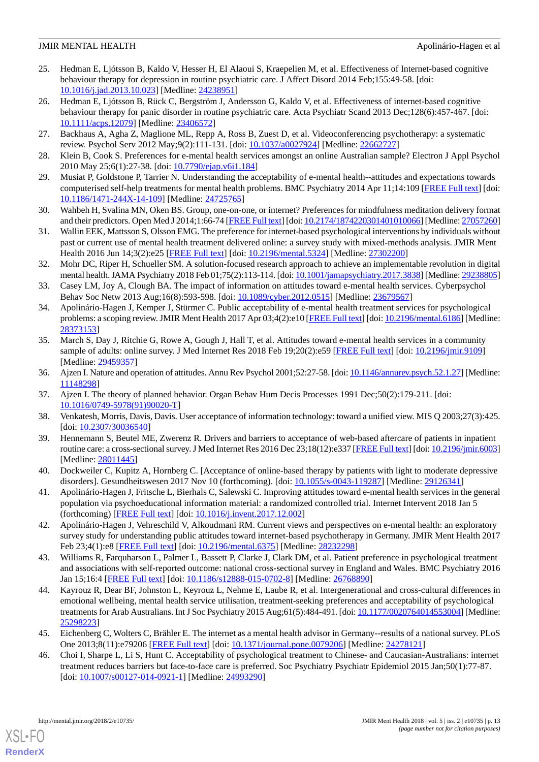- <span id="page-12-19"></span>25. Hedman E, Ljótsson B, Kaldo V, Hesser H, El Alaoui S, Kraepelien M, et al. Effectiveness of Internet-based cognitive behaviour therapy for depression in routine psychiatric care. J Affect Disord 2014 Feb;155:49-58. [doi: [10.1016/j.jad.2013.10.023\]](http://dx.doi.org/10.1016/j.jad.2013.10.023) [Medline: [24238951\]](http://www.ncbi.nlm.nih.gov/entrez/query.fcgi?cmd=Retrieve&db=PubMed&list_uids=24238951&dopt=Abstract)
- <span id="page-12-0"></span>26. Hedman E, Ljótsson B, Rück C, Bergström J, Andersson G, Kaldo V, et al. Effectiveness of internet-based cognitive behaviour therapy for panic disorder in routine psychiatric care. Acta Psychiatr Scand 2013 Dec;128(6):457-467. [doi: [10.1111/acps.12079](http://dx.doi.org/10.1111/acps.12079)] [Medline: [23406572\]](http://www.ncbi.nlm.nih.gov/entrez/query.fcgi?cmd=Retrieve&db=PubMed&list_uids=23406572&dopt=Abstract)
- <span id="page-12-2"></span><span id="page-12-1"></span>27. Backhaus A, Agha Z, Maglione ML, Repp A, Ross B, Zuest D, et al. Videoconferencing psychotherapy: a systematic review. Psychol Serv 2012 May;9(2):111-131. [doi: [10.1037/a0027924](http://dx.doi.org/10.1037/a0027924)] [Medline: [22662727\]](http://www.ncbi.nlm.nih.gov/entrez/query.fcgi?cmd=Retrieve&db=PubMed&list_uids=22662727&dopt=Abstract)
- <span id="page-12-4"></span>28. Klein B, Cook S. Preferences for e-mental health services amongst an online Australian sample? Electron J Appl Psychol 2010 May 25;6(1):27-38. [doi: [10.7790/ejap.v6i1.184\]](http://dx.doi.org/10.7790/ejap.v6i1.184)
- 29. Musiat P, Goldstone P, Tarrier N. Understanding the acceptability of e-mental health--attitudes and expectations towards computerised self-help treatments for mental health problems. BMC Psychiatry 2014 Apr 11;14:109 [[FREE Full text](https://bmcpsychiatry.biomedcentral.com/articles/10.1186/1471-244X-14-109)] [doi: [10.1186/1471-244X-14-109](http://dx.doi.org/10.1186/1471-244X-14-109)] [Medline: [24725765\]](http://www.ncbi.nlm.nih.gov/entrez/query.fcgi?cmd=Retrieve&db=PubMed&list_uids=24725765&dopt=Abstract)
- <span id="page-12-16"></span>30. Wahbeh H, Svalina MN, Oken BS. Group, one-on-one, or internet? Preferences for mindfulness meditation delivery format and their predictors. Open Med J 2014;1:66-74 [[FREE Full text\]](http://europepmc.org/abstract/MED/27057260) [doi: [10.2174/1874220301401010066](http://dx.doi.org/10.2174/1874220301401010066)] [Medline: [27057260\]](http://www.ncbi.nlm.nih.gov/entrez/query.fcgi?cmd=Retrieve&db=PubMed&list_uids=27057260&dopt=Abstract)
- <span id="page-12-3"></span>31. Wallin EEK, Mattsson S, Olsson EMG. The preference for internet-based psychological interventions by individuals without past or current use of mental health treatment delivered online: a survey study with mixed-methods analysis. JMIR Ment Health 2016 Jun 14;3(2):e25 [\[FREE Full text\]](http://mental.jmir.org/2016/2/e25/) [doi: [10.2196/mental.5324\]](http://dx.doi.org/10.2196/mental.5324) [Medline: [27302200\]](http://www.ncbi.nlm.nih.gov/entrez/query.fcgi?cmd=Retrieve&db=PubMed&list_uids=27302200&dopt=Abstract)
- <span id="page-12-5"></span>32. Mohr DC, Riper H, Schueller SM. A solution-focused research approach to achieve an implementable revolution in digital mental health. JAMA Psychiatry 2018 Feb 01;75(2):113-114. [doi: [10.1001/jamapsychiatry.2017.3838\]](http://dx.doi.org/10.1001/jamapsychiatry.2017.3838) [Medline: [29238805\]](http://www.ncbi.nlm.nih.gov/entrez/query.fcgi?cmd=Retrieve&db=PubMed&list_uids=29238805&dopt=Abstract)
- <span id="page-12-12"></span>33. Casey LM, Joy A, Clough BA. The impact of information on attitudes toward e-mental health services. Cyberpsychol Behav Soc Netw 2013 Aug;16(8):593-598. [doi: [10.1089/cyber.2012.0515](http://dx.doi.org/10.1089/cyber.2012.0515)] [Medline: [23679567](http://www.ncbi.nlm.nih.gov/entrez/query.fcgi?cmd=Retrieve&db=PubMed&list_uids=23679567&dopt=Abstract)]
- <span id="page-12-6"></span>34. Apolinário-Hagen J, Kemper J, Stürmer C. Public acceptability of e-mental health treatment services for psychological problems: a scoping review. JMIR Ment Health 2017 Apr 03;4(2):e10 [\[FREE Full text\]](http://mental.jmir.org/2017/2/e10/) [doi: [10.2196/mental.6186\]](http://dx.doi.org/10.2196/mental.6186) [Medline: [28373153](http://www.ncbi.nlm.nih.gov/entrez/query.fcgi?cmd=Retrieve&db=PubMed&list_uids=28373153&dopt=Abstract)]
- <span id="page-12-8"></span><span id="page-12-7"></span>35. March S, Day J, Ritchie G, Rowe A, Gough J, Hall T, et al. Attitudes toward e-mental health services in a community sample of adults: online survey. J Med Internet Res 2018 Feb 19;20(2):e59 [\[FREE Full text\]](http://www.jmir.org/2018/2/e59/) [doi: [10.2196/jmir.9109\]](http://dx.doi.org/10.2196/jmir.9109) [Medline: [29459357](http://www.ncbi.nlm.nih.gov/entrez/query.fcgi?cmd=Retrieve&db=PubMed&list_uids=29459357&dopt=Abstract)]
- <span id="page-12-9"></span>36. Ajzen I. Nature and operation of attitudes. Annu Rev Psychol 2001;52:27-58. [doi: [10.1146/annurev.psych.52.1.27\]](http://dx.doi.org/10.1146/annurev.psych.52.1.27) [Medline: [11148298](http://www.ncbi.nlm.nih.gov/entrez/query.fcgi?cmd=Retrieve&db=PubMed&list_uids=11148298&dopt=Abstract)]
- <span id="page-12-10"></span>37. Ajzen I. The theory of planned behavior. Organ Behav Hum Decis Processes 1991 Dec;50(2):179-211. [doi: [10.1016/0749-5978\(91\)90020-T](http://dx.doi.org/10.1016/0749-5978(91)90020-T)]
- <span id="page-12-11"></span>38. Venkatesh, Morris, Davis, Davis. User acceptance of information technology: toward a unified view. MIS Q 2003;27(3):425. [doi: [10.2307/30036540](http://dx.doi.org/10.2307/30036540)]
- <span id="page-12-13"></span>39. Hennemann S, Beutel ME, Zwerenz R. Drivers and barriers to acceptance of web-based aftercare of patients in inpatient routine care: a cross-sectional survey. J Med Internet Res 2016 Dec 23;18(12):e337 [\[FREE Full text](http://www.jmir.org/2016/12/e337/)] [doi: [10.2196/jmir.6003](http://dx.doi.org/10.2196/jmir.6003)] [Medline: [28011445](http://www.ncbi.nlm.nih.gov/entrez/query.fcgi?cmd=Retrieve&db=PubMed&list_uids=28011445&dopt=Abstract)]
- <span id="page-12-14"></span>40. Dockweiler C, Kupitz A, Hornberg C. [Acceptance of online-based therapy by patients with light to moderate depressive disorders]. Gesundheitswesen 2017 Nov 10 (forthcoming). [doi: [10.1055/s-0043-119287](http://dx.doi.org/10.1055/s-0043-119287)] [Medline: [29126341](http://www.ncbi.nlm.nih.gov/entrez/query.fcgi?cmd=Retrieve&db=PubMed&list_uids=29126341&dopt=Abstract)]
- <span id="page-12-15"></span>41. Apolinário-Hagen J, Fritsche L, Bierhals C, Salewski C. Improving attitudes toward e-mental health services in the general population via psychoeducational information material: a randomized controlled trial. Internet Intervent 2018 Jan 5 (forthcoming) [\[FREE Full text\]](https://www.sciencedirect.com/science/article/pii/S221478291730074X) [doi: [10.1016/j.invent.2017.12.002\]](http://dx.doi.org/10.1016/j.invent.2017.12.002)
- <span id="page-12-17"></span>42. Apolinário-Hagen J, Vehreschild V, Alkoudmani RM. Current views and perspectives on e-mental health: an exploratory survey study for understanding public attitudes toward internet-based psychotherapy in Germany. JMIR Ment Health 2017 Feb 23;4(1):e8 [[FREE Full text\]](http://mental.jmir.org/2017/1/e8/) [doi: [10.2196/mental.6375](http://dx.doi.org/10.2196/mental.6375)] [Medline: [28232298\]](http://www.ncbi.nlm.nih.gov/entrez/query.fcgi?cmd=Retrieve&db=PubMed&list_uids=28232298&dopt=Abstract)
- <span id="page-12-18"></span>43. Williams R, Farquharson L, Palmer L, Bassett P, Clarke J, Clark DM, et al. Patient preference in psychological treatment and associations with self-reported outcome: national cross-sectional survey in England and Wales. BMC Psychiatry 2016 Jan 15;16:4 [[FREE Full text](https://bmcpsychiatry.biomedcentral.com/articles/10.1186/s12888-015-0702-8)] [doi: [10.1186/s12888-015-0702-8](http://dx.doi.org/10.1186/s12888-015-0702-8)] [Medline: [26768890](http://www.ncbi.nlm.nih.gov/entrez/query.fcgi?cmd=Retrieve&db=PubMed&list_uids=26768890&dopt=Abstract)]
- 44. Kayrouz R, Dear BF, Johnston L, Keyrouz L, Nehme E, Laube R, et al. Intergenerational and cross-cultural differences in emotional wellbeing, mental health service utilisation, treatment-seeking preferences and acceptability of psychological treatments for Arab Australians. Int J Soc Psychiatry 2015 Aug;61(5):484-491. [doi: [10.1177/0020764014553004\]](http://dx.doi.org/10.1177/0020764014553004) [Medline: [25298223](http://www.ncbi.nlm.nih.gov/entrez/query.fcgi?cmd=Retrieve&db=PubMed&list_uids=25298223&dopt=Abstract)]
- 45. Eichenberg C, Wolters C, Brähler E. The internet as a mental health advisor in Germany--results of a national survey. PLoS One 2013;8(11):e79206 [\[FREE Full text\]](http://dx.plos.org/10.1371/journal.pone.0079206) [doi: [10.1371/journal.pone.0079206\]](http://dx.doi.org/10.1371/journal.pone.0079206) [Medline: [24278121\]](http://www.ncbi.nlm.nih.gov/entrez/query.fcgi?cmd=Retrieve&db=PubMed&list_uids=24278121&dopt=Abstract)
- 46. Choi I, Sharpe L, Li S, Hunt C. Acceptability of psychological treatment to Chinese- and Caucasian-Australians: internet treatment reduces barriers but face-to-face care is preferred. Soc Psychiatry Psychiatr Epidemiol 2015 Jan;50(1):77-87. [doi: [10.1007/s00127-014-0921-1](http://dx.doi.org/10.1007/s00127-014-0921-1)] [Medline: [24993290\]](http://www.ncbi.nlm.nih.gov/entrez/query.fcgi?cmd=Retrieve&db=PubMed&list_uids=24993290&dopt=Abstract)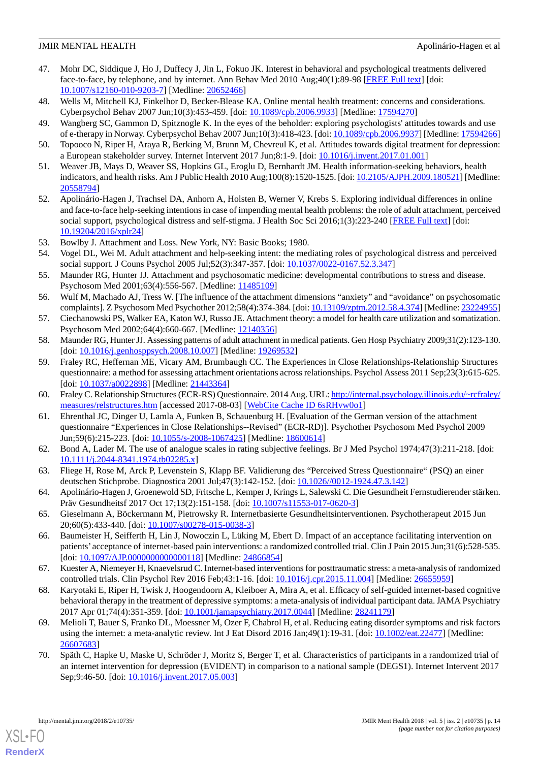- <span id="page-13-0"></span>47. Mohr DC, Siddique J, Ho J, Duffecy J, Jin L, Fokuo JK. Interest in behavioral and psychological treatments delivered face-to-face, by telephone, and by internet. Ann Behav Med 2010 Aug;40(1):89-98 [[FREE Full text](http://europepmc.org/abstract/MED/20652466)] [doi: [10.1007/s12160-010-9203-7\]](http://dx.doi.org/10.1007/s12160-010-9203-7) [Medline: [20652466](http://www.ncbi.nlm.nih.gov/entrez/query.fcgi?cmd=Retrieve&db=PubMed&list_uids=20652466&dopt=Abstract)]
- <span id="page-13-1"></span>48. Wells M, Mitchell KJ, Finkelhor D, Becker-Blease KA. Online mental health treatment: concerns and considerations. Cyberpsychol Behav 2007 Jun;10(3):453-459. [doi: [10.1089/cpb.2006.9933](http://dx.doi.org/10.1089/cpb.2006.9933)] [Medline: [17594270\]](http://www.ncbi.nlm.nih.gov/entrez/query.fcgi?cmd=Retrieve&db=PubMed&list_uids=17594270&dopt=Abstract)
- <span id="page-13-2"></span>49. Wangberg SC, Gammon D, Spitznogle K. In the eyes of the beholder: exploring psychologists' attitudes towards and use of e-therapy in Norway. Cyberpsychol Behav 2007 Jun;10(3):418-423. [doi: [10.1089/cpb.2006.9937\]](http://dx.doi.org/10.1089/cpb.2006.9937) [Medline: [17594266](http://www.ncbi.nlm.nih.gov/entrez/query.fcgi?cmd=Retrieve&db=PubMed&list_uids=17594266&dopt=Abstract)]
- <span id="page-13-3"></span>50. Topooco N, Riper H, Araya R, Berking M, Brunn M, Chevreul K, et al. Attitudes towards digital treatment for depression: a European stakeholder survey. Internet Intervent 2017 Jun;8:1-9. [doi: [10.1016/j.invent.2017.01.001\]](http://dx.doi.org/10.1016/j.invent.2017.01.001)
- <span id="page-13-4"></span>51. Weaver JB, Mays D, Weaver SS, Hopkins GL, Eroglu D, Bernhardt JM. Health information-seeking behaviors, health indicators, and health risks. Am J Public Health 2010 Aug;100(8):1520-1525. [doi: [10.2105/AJPH.2009.180521](http://dx.doi.org/10.2105/AJPH.2009.180521)] [Medline: [20558794](http://www.ncbi.nlm.nih.gov/entrez/query.fcgi?cmd=Retrieve&db=PubMed&list_uids=20558794&dopt=Abstract)]
- <span id="page-13-5"></span>52. Apolinário-Hagen J, Trachsel DA, Anhorn A, Holsten B, Werner V, Krebs S. Exploring individual differences in online and face-to-face help-seeking intentions in case of impending mental health problems: the role of adult attachment, perceived social support, psychological distress and self-stigma. J Health Soc Sci 2016;1(3):223-240 [[FREE Full text](http://journalhss.com/wp-content/uploads/JHHS13_223-240.pdf)] [doi: [10.19204/2016/xplr24\]](http://dx.doi.org/10.19204/2016/xplr24)
- <span id="page-13-6"></span>53. Bowlby J. Attachment and Loss. New York, NY: Basic Books; 1980.
- <span id="page-13-7"></span>54. Vogel DL, Wei M. Adult attachment and help-seeking intent: the mediating roles of psychological distress and perceived social support. J Couns Psychol 2005 Jul; 52(3): 347-357. [doi: [10.1037/0022-0167.52.3.347](http://dx.doi.org/10.1037/0022-0167.52.3.347)]
- <span id="page-13-8"></span>55. Maunder RG, Hunter JJ. Attachment and psychosomatic medicine: developmental contributions to stress and disease. Psychosom Med 2001;63(4):556-567. [Medline: [11485109\]](http://www.ncbi.nlm.nih.gov/entrez/query.fcgi?cmd=Retrieve&db=PubMed&list_uids=11485109&dopt=Abstract)
- <span id="page-13-10"></span><span id="page-13-9"></span>56. Wulf M, Machado AJ, Tress W. [The influence of the attachment dimensions "anxiety" and "avoidance" on psychosomatic complaints]. Z Psychosom Med Psychother 2012;58(4):374-384. [doi: [10.13109/zptm.2012.58.4.374\]](http://dx.doi.org/10.13109/zptm.2012.58.4.374) [Medline: [23224955\]](http://www.ncbi.nlm.nih.gov/entrez/query.fcgi?cmd=Retrieve&db=PubMed&list_uids=23224955&dopt=Abstract)
- <span id="page-13-11"></span>57. Ciechanowski PS, Walker EA, Katon WJ, Russo JE. Attachment theory: a model for health care utilization and somatization. Psychosom Med 2002;64(4):660-667. [Medline: [12140356\]](http://www.ncbi.nlm.nih.gov/entrez/query.fcgi?cmd=Retrieve&db=PubMed&list_uids=12140356&dopt=Abstract)
- 58. Maunder RG, Hunter JJ. Assessing patterns of adult attachment in medical patients. Gen Hosp Psychiatry 2009;31(2):123-130. [doi: [10.1016/j.genhosppsych.2008.10.007\]](http://dx.doi.org/10.1016/j.genhosppsych.2008.10.007) [Medline: [19269532](http://www.ncbi.nlm.nih.gov/entrez/query.fcgi?cmd=Retrieve&db=PubMed&list_uids=19269532&dopt=Abstract)]
- <span id="page-13-13"></span><span id="page-13-12"></span>59. Fraley RC, Heffernan ME, Vicary AM, Brumbaugh CC. The Experiences in Close Relationships-Relationship Structures questionnaire: a method for assessing attachment orientations across relationships. Psychol Assess 2011 Sep;23(3):615-625. [doi: [10.1037/a0022898\]](http://dx.doi.org/10.1037/a0022898) [Medline: [21443364](http://www.ncbi.nlm.nih.gov/entrez/query.fcgi?cmd=Retrieve&db=PubMed&list_uids=21443364&dopt=Abstract)]
- <span id="page-13-14"></span>60. Fraley C. Relationship Structures (ECR-RS) Questionnaire. 2014 Aug. URL: [http://internal.psychology.illinois.edu/~rcfraley/](http://internal.psychology.illinois.edu/~rcfraley/measures/relstructures.htm) [measures/relstructures.htm](http://internal.psychology.illinois.edu/~rcfraley/measures/relstructures.htm) [accessed 2017-08-03] [\[WebCite Cache ID 6sRHvw0o1\]](http://www.webcitation.org/

                                6sRHvw0o1)
- <span id="page-13-15"></span>61. Ehrenthal JC, Dinger U, Lamla A, Funken B, Schauenburg H. [Evaluation of the German version of the attachment questionnaire "Experiences in Close Relationships--Revised" (ECR-RD)]. Psychother Psychosom Med Psychol 2009 Jun;59(6):215-223. [doi: [10.1055/s-2008-1067425](http://dx.doi.org/10.1055/s-2008-1067425)] [Medline: [18600614\]](http://www.ncbi.nlm.nih.gov/entrez/query.fcgi?cmd=Retrieve&db=PubMed&list_uids=18600614&dopt=Abstract)
- <span id="page-13-16"></span>62. Bond A, Lader M. The use of analogue scales in rating subjective feelings. Br J Med Psychol 1974;47(3):211-218. [doi: [10.1111/j.2044-8341.1974.tb02285.x\]](http://dx.doi.org/10.1111/j.2044-8341.1974.tb02285.x)
- <span id="page-13-17"></span>63. Fliege H, Rose M, Arck P, Levenstein S, Klapp BF. Validierung des "Perceived Stress Questionnaire" (PSQ) an einer deutschen Stichprobe. Diagnostica 2001 Jul;47(3):142-152. [doi: [10.1026//0012-1924.47.3.142\]](http://dx.doi.org/10.1026//0012-1924.47.3.142)
- <span id="page-13-18"></span>64. Apolinário-Hagen J, Groenewold SD, Fritsche L, Kemper J, Krings L, Salewski C. Die Gesundheit Fernstudierender stärken. Präv Gesundheitsf 2017 Oct 17;13(2):151-158. [doi: [10.1007/s11553-017-0620-3\]](http://dx.doi.org/10.1007/s11553-017-0620-3)
- <span id="page-13-19"></span>65. Gieselmann A, Böckermann M, Pietrowsky R. Internetbasierte Gesundheitsinterventionen. Psychotherapeut 2015 Jun 20;60(5):433-440. [doi: [10.1007/s00278-015-0038-3\]](http://dx.doi.org/10.1007/s00278-015-0038-3)
- <span id="page-13-20"></span>66. Baumeister H, Seifferth H, Lin J, Nowoczin L, Lüking M, Ebert D. Impact of an acceptance facilitating intervention on patients' acceptance of internet-based pain interventions: a randomized controlled trial. Clin J Pain 2015 Jun;31(6):528-535. [doi: [10.1097/AJP.0000000000000118](http://dx.doi.org/10.1097/AJP.0000000000000118)] [Medline: [24866854](http://www.ncbi.nlm.nih.gov/entrez/query.fcgi?cmd=Retrieve&db=PubMed&list_uids=24866854&dopt=Abstract)]
- 67. Kuester A, Niemeyer H, Knaevelsrud C. Internet-based interventions for posttraumatic stress: a meta-analysis of randomized controlled trials. Clin Psychol Rev 2016 Feb;43:1-16. [doi: [10.1016/j.cpr.2015.11.004\]](http://dx.doi.org/10.1016/j.cpr.2015.11.004) [Medline: [26655959\]](http://www.ncbi.nlm.nih.gov/entrez/query.fcgi?cmd=Retrieve&db=PubMed&list_uids=26655959&dopt=Abstract)
- 68. Karyotaki E, Riper H, Twisk J, Hoogendoorn A, Kleiboer A, Mira A, et al. Efficacy of self-guided internet-based cognitive behavioral therapy in the treatment of depressive symptoms: a meta-analysis of individual participant data. JAMA Psychiatry 2017 Apr 01;74(4):351-359. [doi: [10.1001/jamapsychiatry.2017.0044\]](http://dx.doi.org/10.1001/jamapsychiatry.2017.0044) [Medline: [28241179](http://www.ncbi.nlm.nih.gov/entrez/query.fcgi?cmd=Retrieve&db=PubMed&list_uids=28241179&dopt=Abstract)]
- 69. Melioli T, Bauer S, Franko DL, Moessner M, Ozer F, Chabrol H, et al. Reducing eating disorder symptoms and risk factors using the internet: a meta-analytic review. Int J Eat Disord 2016 Jan;49(1):19-31. [doi: [10.1002/eat.22477\]](http://dx.doi.org/10.1002/eat.22477) [Medline: [26607683](http://www.ncbi.nlm.nih.gov/entrez/query.fcgi?cmd=Retrieve&db=PubMed&list_uids=26607683&dopt=Abstract)]
- 70. Späth C, Hapke U, Maske U, Schröder J, Moritz S, Berger T, et al. Characteristics of participants in a randomized trial of an internet intervention for depression (EVIDENT) in comparison to a national sample (DEGS1). Internet Intervent 2017 Sep;9:46-50. [doi: [10.1016/j.invent.2017.05.003](http://dx.doi.org/10.1016/j.invent.2017.05.003)]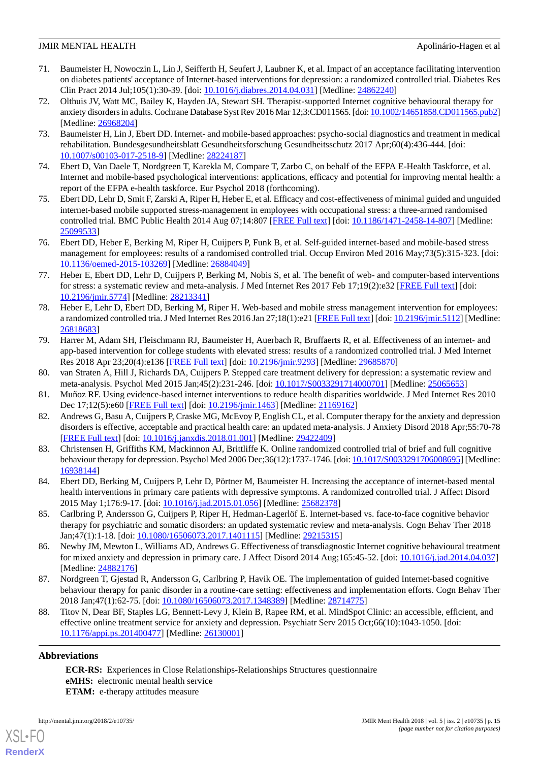- <span id="page-14-13"></span>71. Baumeister H, Nowoczin L, Lin J, Seifferth H, Seufert J, Laubner K, et al. Impact of an acceptance facilitating intervention on diabetes patients' acceptance of Internet-based interventions for depression: a randomized controlled trial. Diabetes Res Clin Pract 2014 Jul;105(1):30-39. [doi: [10.1016/j.diabres.2014.04.031](http://dx.doi.org/10.1016/j.diabres.2014.04.031)] [Medline: [24862240](http://www.ncbi.nlm.nih.gov/entrez/query.fcgi?cmd=Retrieve&db=PubMed&list_uids=24862240&dopt=Abstract)]
- <span id="page-14-0"></span>72. Olthuis JV, Watt MC, Bailey K, Hayden JA, Stewart SH. Therapist-supported Internet cognitive behavioural therapy for anxiety disorders in adults. Cochrane Database Syst Rev 2016 Mar 12;3:CD011565. [doi: [10.1002/14651858.CD011565.pub2\]](http://dx.doi.org/10.1002/14651858.CD011565.pub2) [Medline: [26968204](http://www.ncbi.nlm.nih.gov/entrez/query.fcgi?cmd=Retrieve&db=PubMed&list_uids=26968204&dopt=Abstract)]
- <span id="page-14-1"></span>73. Baumeister H, Lin J, Ebert DD. Internet- and mobile-based approaches: psycho-social diagnostics and treatment in medical rehabilitation. Bundesgesundheitsblatt Gesundheitsforschung Gesundheitsschutz 2017 Apr;60(4):436-444. [doi: [10.1007/s00103-017-2518-9\]](http://dx.doi.org/10.1007/s00103-017-2518-9) [Medline: [28224187](http://www.ncbi.nlm.nih.gov/entrez/query.fcgi?cmd=Retrieve&db=PubMed&list_uids=28224187&dopt=Abstract)]
- <span id="page-14-3"></span><span id="page-14-2"></span>74. Ebert D, Van Daele T, Nordgreen T, Karekla M, Compare T, Zarbo C, on behalf of the EFPA E-Health Taskforce, et al. Internet and mobile-based psychological interventions: applications, efficacy and potential for improving mental health: a report of the EFPA e-health taskforce. Eur Psychol 2018 (forthcoming).
- 75. Ebert DD, Lehr D, Smit F, Zarski A, Riper H, Heber E, et al. Efficacy and cost-effectiveness of minimal guided and unguided internet-based mobile supported stress-management in employees with occupational stress: a three-armed randomised controlled trial. BMC Public Health 2014 Aug 07;14:807 [\[FREE Full text\]](https://bmcpublichealth.biomedcentral.com/articles/10.1186/1471-2458-14-807) [doi: [10.1186/1471-2458-14-807](http://dx.doi.org/10.1186/1471-2458-14-807)] [Medline: [25099533](http://www.ncbi.nlm.nih.gov/entrez/query.fcgi?cmd=Retrieve&db=PubMed&list_uids=25099533&dopt=Abstract)]
- <span id="page-14-8"></span>76. Ebert DD, Heber E, Berking M, Riper H, Cuijpers P, Funk B, et al. Self-guided internet-based and mobile-based stress management for employees: results of a randomised controlled trial. Occup Environ Med 2016 May;73(5):315-323. [doi: [10.1136/oemed-2015-103269](http://dx.doi.org/10.1136/oemed-2015-103269)] [Medline: [26884049\]](http://www.ncbi.nlm.nih.gov/entrez/query.fcgi?cmd=Retrieve&db=PubMed&list_uids=26884049&dopt=Abstract)
- 77. Heber E, Ebert DD, Lehr D, Cuijpers P, Berking M, Nobis S, et al. The benefit of web- and computer-based interventions for stress: a systematic review and meta-analysis. J Med Internet Res 2017 Feb 17;19(2):e32 [[FREE Full text](http://www.jmir.org/2017/2/e32/)] [doi: [10.2196/jmir.5774](http://dx.doi.org/10.2196/jmir.5774)] [Medline: [28213341](http://www.ncbi.nlm.nih.gov/entrez/query.fcgi?cmd=Retrieve&db=PubMed&list_uids=28213341&dopt=Abstract)]
- <span id="page-14-4"></span>78. Heber E, Lehr D, Ebert DD, Berking M, Riper H. Web-based and mobile stress management intervention for employees: a randomized controlled tria. J Med Internet Res 2016 Jan 27;18(1):e21 [\[FREE Full text](http://www.jmir.org/2016/1/e21/)] [doi: [10.2196/jmir.5112](http://dx.doi.org/10.2196/jmir.5112)] [Medline: [26818683](http://www.ncbi.nlm.nih.gov/entrez/query.fcgi?cmd=Retrieve&db=PubMed&list_uids=26818683&dopt=Abstract)]
- <span id="page-14-6"></span><span id="page-14-5"></span>79. Harrer M, Adam SH, Fleischmann RJ, Baumeister H, Auerbach R, Bruffaerts R, et al. Effectiveness of an internet- and app-based intervention for college students with elevated stress: results of a randomized controlled trial. J Med Internet Res 2018 Apr 23;20(4):e136 [\[FREE Full text\]](http://www.jmir.org/2018/4/e136/) [doi: [10.2196/jmir.9293\]](http://dx.doi.org/10.2196/jmir.9293) [Medline: [29685870](http://www.ncbi.nlm.nih.gov/entrez/query.fcgi?cmd=Retrieve&db=PubMed&list_uids=29685870&dopt=Abstract)]
- 80. van Straten A, Hill J, Richards DA, Cuijpers P. Stepped care treatment delivery for depression: a systematic review and meta-analysis. Psychol Med 2015 Jan;45(2):231-246. [doi: [10.1017/S0033291714000701](http://dx.doi.org/10.1017/S0033291714000701)] [Medline: [25065653\]](http://www.ncbi.nlm.nih.gov/entrez/query.fcgi?cmd=Retrieve&db=PubMed&list_uids=25065653&dopt=Abstract)
- <span id="page-14-7"></span>81. Muñoz RF. Using evidence-based internet interventions to reduce health disparities worldwide. J Med Internet Res 2010 Dec 17;12(5):e60 [[FREE Full text](http://www.jmir.org/2010/5/e60/)] [doi: [10.2196/jmir.1463](http://dx.doi.org/10.2196/jmir.1463)] [Medline: [21169162\]](http://www.ncbi.nlm.nih.gov/entrez/query.fcgi?cmd=Retrieve&db=PubMed&list_uids=21169162&dopt=Abstract)
- 82. Andrews G, Basu A, Cuijpers P, Craske MG, McEvoy P, English CL, et al. Computer therapy for the anxiety and depression disorders is effective, acceptable and practical health care: an updated meta-analysis. J Anxiety Disord 2018 Apr;55:70-78 [[FREE Full text](https://linkinghub.elsevier.com/retrieve/pii/S0887-6185(17)30447-4)] [doi: [10.1016/j.janxdis.2018.01.001](http://dx.doi.org/10.1016/j.janxdis.2018.01.001)] [Medline: [29422409](http://www.ncbi.nlm.nih.gov/entrez/query.fcgi?cmd=Retrieve&db=PubMed&list_uids=29422409&dopt=Abstract)]
- <span id="page-14-10"></span><span id="page-14-9"></span>83. Christensen H, Griffiths KM, Mackinnon AJ, Brittliffe K. Online randomized controlled trial of brief and full cognitive behaviour therapy for depression. Psychol Med 2006 Dec;36(12):1737-1746. [doi: [10.1017/S0033291706008695\]](http://dx.doi.org/10.1017/S0033291706008695) [Medline: [16938144](http://www.ncbi.nlm.nih.gov/entrez/query.fcgi?cmd=Retrieve&db=PubMed&list_uids=16938144&dopt=Abstract)]
- <span id="page-14-11"></span>84. Ebert DD, Berking M, Cuijpers P, Lehr D, Pörtner M, Baumeister H. Increasing the acceptance of internet-based mental health interventions in primary care patients with depressive symptoms. A randomized controlled trial. J Affect Disord 2015 May 1;176:9-17. [doi: [10.1016/j.jad.2015.01.056](http://dx.doi.org/10.1016/j.jad.2015.01.056)] [Medline: [25682378](http://www.ncbi.nlm.nih.gov/entrez/query.fcgi?cmd=Retrieve&db=PubMed&list_uids=25682378&dopt=Abstract)]
- 85. Carlbring P, Andersson G, Cuijpers P, Riper H, Hedman-Lagerlöf E. Internet-based vs. face-to-face cognitive behavior therapy for psychiatric and somatic disorders: an updated systematic review and meta-analysis. Cogn Behav Ther 2018 Jan;47(1):1-18. [doi: [10.1080/16506073.2017.1401115](http://dx.doi.org/10.1080/16506073.2017.1401115)] [Medline: [29215315\]](http://www.ncbi.nlm.nih.gov/entrez/query.fcgi?cmd=Retrieve&db=PubMed&list_uids=29215315&dopt=Abstract)
- <span id="page-14-12"></span>86. Newby JM, Mewton L, Williams AD, Andrews G. Effectiveness of transdiagnostic Internet cognitive behavioural treatment for mixed anxiety and depression in primary care. J Affect Disord 2014 Aug;165:45-52. [doi: [10.1016/j.jad.2014.04.037\]](http://dx.doi.org/10.1016/j.jad.2014.04.037) [Medline: [24882176](http://www.ncbi.nlm.nih.gov/entrez/query.fcgi?cmd=Retrieve&db=PubMed&list_uids=24882176&dopt=Abstract)]
- 87. Nordgreen T, Gjestad R, Andersson G, Carlbring P, Havik OE. The implementation of guided Internet-based cognitive behaviour therapy for panic disorder in a routine-care setting: effectiveness and implementation efforts. Cogn Behav Ther 2018 Jan;47(1):62-75. [doi: [10.1080/16506073.2017.1348389\]](http://dx.doi.org/10.1080/16506073.2017.1348389) [Medline: [28714775](http://www.ncbi.nlm.nih.gov/entrez/query.fcgi?cmd=Retrieve&db=PubMed&list_uids=28714775&dopt=Abstract)]
- 88. Titov N, Dear BF, Staples LG, Bennett-Levy J, Klein B, Rapee RM, et al. MindSpot Clinic: an accessible, efficient, and effective online treatment service for anxiety and depression. Psychiatr Serv 2015 Oct;66(10):1043-1050. [doi: [10.1176/appi.ps.201400477\]](http://dx.doi.org/10.1176/appi.ps.201400477) [Medline: [26130001\]](http://www.ncbi.nlm.nih.gov/entrez/query.fcgi?cmd=Retrieve&db=PubMed&list_uids=26130001&dopt=Abstract)

# **Abbreviations**

[XSL](http://www.w3.org/Style/XSL)•FO **[RenderX](http://www.renderx.com/)**

**ECR-RS:** Experiences in Close Relationships-Relationships Structures questionnaire **eMHS:** electronic mental health service **ETAM:** e-therapy attitudes measure